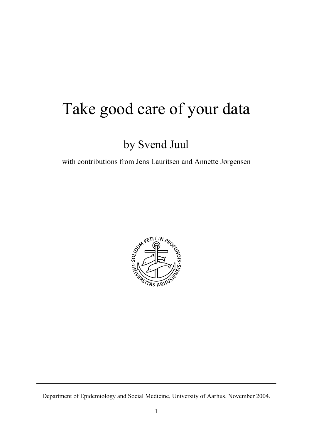# Take good care of your data

## by Svend Juul

with contributions from Jens Lauritsen and Annette Jørgensen



Department of Epidemiology and Social Medicine, University of Aarhus. November 2004.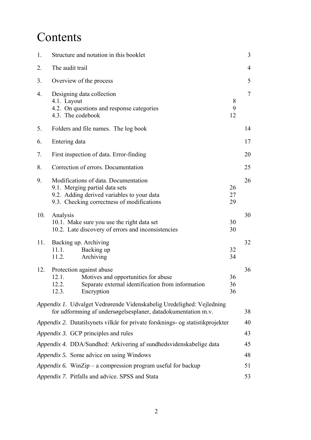# Contents

| 1.  | Structure and notation in this booklet                                                                                                                             |                | 3              |
|-----|--------------------------------------------------------------------------------------------------------------------------------------------------------------------|----------------|----------------|
| 2.  | The audit trail                                                                                                                                                    |                | $\overline{4}$ |
| 3.  | Overview of the process                                                                                                                                            |                | 5              |
| 4.  | Designing data collection<br>4.1. Layout<br>4.2. On questions and response categories<br>4.3. The codebook                                                         | 8<br>9<br>12   | 7              |
| 5.  | Folders and file names. The log book                                                                                                                               |                | 14             |
| 6.  | Entering data                                                                                                                                                      |                | 17             |
| 7.  | First inspection of data. Error-finding                                                                                                                            |                | 20             |
| 8.  | Correction of errors. Documentation                                                                                                                                |                | 25             |
| 9.  | Modifications of data. Documentation<br>9.1. Merging partial data sets<br>9.2. Adding derived variables to your data<br>9.3. Checking correctness of modifications | 26<br>27<br>29 | 26             |
| 10. | Analysis<br>10.1. Make sure you use the right data set<br>10.2. Late discovery of errors and inconsistencies                                                       | 30<br>30       | 30             |
| 11. | Backing up. Archiving<br>11.1.<br>Backing up<br>Archiving<br>11.2.                                                                                                 | 32<br>34       | 32             |
| 12. | Protection against abuse<br>Motives and opportunities for abuse<br>12.1.<br>Separate external identification from information<br>12.2.<br>Encryption<br>12.3.      | 36<br>36<br>36 | 36             |
|     | Appendix 1. Udvalget Vedrørende Videnskabelig Uredelighed: Vejledning<br>for udformning af undersøgelsesplaner, datadokumentation m.v.                             |                | 38             |
|     | Appendix 2. Datatilsynets vilkår for private forsknings- og statistikprojekter                                                                                     |                | 40             |
|     | Appendix 3. GCP principles and rules                                                                                                                               |                | 43             |
|     | Appendix 4. DDA/Sundhed: Arkivering af sundhedsvidenskabelige data                                                                                                 |                | 45             |
|     | Appendix 5. Some advice on using Windows                                                                                                                           |                | 48             |
|     | Appendix 6. WinZip – a compression program useful for backup                                                                                                       |                | 51             |
|     | Appendix 7. Pitfalls and advice. SPSS and Stata                                                                                                                    |                | 53             |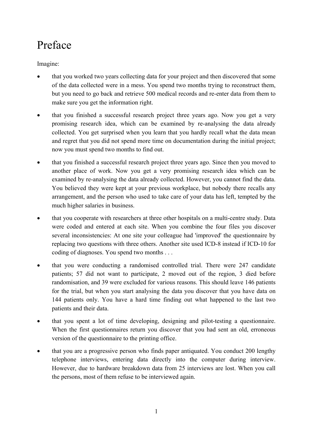## Preface

Imagine:

- that you worked two years collecting data for your project and then discovered that some of the data collected were in a mess. You spend two months trying to reconstruct them, but you need to go back and retrieve 500 medical records and re-enter data from them to make sure you get the information right.
- that you finished a successful research project three years ago. Now you get a very promising research idea, which can be examined by re-analysing the data already collected. You get surprised when you learn that you hardly recall what the data mean and regret that you did not spend more time on documentation during the initial project; now you must spend two months to find out.
- that you finished a successful research project three years ago. Since then you moved to another place of work. Now you get a very promising research idea which can be examined by re-analysing the data already collected. However, you cannot find the data. You believed they were kept at your previous workplace, but nobody there recalls any arrangement, and the person who used to take care of your data has left, tempted by the much higher salaries in business.
- that you cooperate with researchers at three other hospitals on a multi-centre study. Data were coded and entered at each site. When you combine the four files you discover several inconsistencies: At one site your colleague had 'improved' the questionnaire by replacing two questions with three others. Another site used ICD-8 instead if ICD-10 for coding of diagnoses. You spend two months . . .
- that you were conducting a randomised controlled trial. There were 247 candidate patients; 57 did not want to participate, 2 moved out of the region, 3 died before randomisation, and 39 were excluded for various reasons. This should leave 146 patients for the trial, but when you start analysing the data you discover that you have data on 144 patients only. You have a hard time finding out what happened to the last two patients and their data.
- that you spent a lot of time developing, designing and pilot-testing a questionnaire. When the first questionnaires return you discover that you had sent an old, erroneous version of the questionnaire to the printing office.
- that you are a progressive person who finds paper antiquated. You conduct 200 lengthy telephone interviews, entering data directly into the computer during interview. However, due to hardware breakdown data from 25 interviews are lost. When you call the persons, most of them refuse to be interviewed again.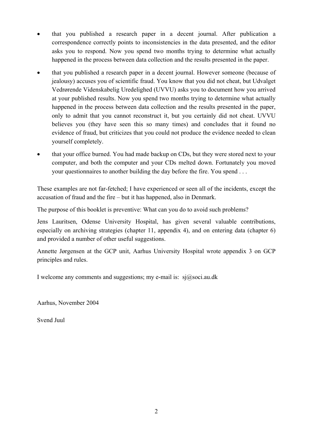- that you published a research paper in a decent journal. After publication a correspondence correctly points to inconsistencies in the data presented, and the editor asks you to respond. Now you spend two months trying to determine what actually happened in the process between data collection and the results presented in the paper.
- that you published a research paper in a decent journal. However someone (because of jealousy) accuses you of scientific fraud. You know that you did not cheat, but Udvalget Vedrørende Videnskabelig Uredelighed (UVVU) asks you to document how you arrived at your published results. Now you spend two months trying to determine what actually happened in the process between data collection and the results presented in the paper, only to admit that you cannot reconstruct it, but you certainly did not cheat. UVVU believes you (they have seen this so many times) and concludes that it found no evidence of fraud, but criticizes that you could not produce the evidence needed to clean yourself completely.
- that your office burned. You had made backup on CDs, but they were stored next to your computer, and both the computer and your CDs melted down. Fortunately you moved your questionnaires to another building the day before the fire. You spend . . .

These examples are not far-fetched; I have experienced or seen all of the incidents, except the accusation of fraud and the fire – but it has happened, also in Denmark.

The purpose of this booklet is preventive: What can you do to avoid such problems?

Jens Lauritsen, Odense University Hospital, has given several valuable contributions, especially on archiving strategies (chapter 11, appendix 4), and on entering data (chapter 6) and provided a number of other useful suggestions.

Annette Jørgensen at the GCP unit, Aarhus University Hospital wrote appendix 3 on GCP principles and rules.

I welcome any comments and suggestions; my e-mail is:  $si(\partial s)$  soci.au.dk

Aarhus, November 2004

Svend Juul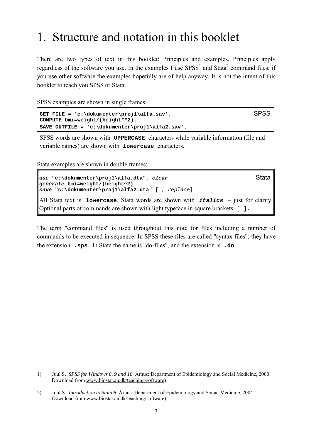# 1. Structure and notation in this booklet

There are two types of text in this booklet: Principles and examples. Principles apply regardless of the software you use. In the examples I use  $SPSS<sup>1</sup>$  and Stata<sup>2</sup> command files; if you use other software the examples hopefully are of help anyway. It is not the intent of this booklet to teach you SPSS or Stata.

SPSS examples are shown in single frames:

```
GET FILE = 'c:\dokumenter\proj1\alfa.sav'. SPSS
COMPUTE bmi=weight/(height**2). 
SAVE OUTFILE = 'c:\dokumenter\proj1\alfa2.sav'.
```
SPSS words are shown with **UPPERCASE** characters while variable information (file and variable names) are shown with **lowercase** characters.

Stata examples are shown in double frames:

 $\overline{a}$ 

```
use "c:\dokumenter\proj1\alfa.dta", clear Stata
generate bmi=weight/(height^2)
save "c:\dokumenter\proj1\alfa2.dta" [ , replace]
```
All Stata text is **lowercase**. Stata words are shown with *italics* – just for clarity. Optional parts of commands are shown with light typeface in square brackets [ ]**.**

The term "command files" is used throughout this note for files including a number of commands to be executed in sequence. In SPSS these files are called "syntax files"; they have the extension **.sps**. In Stata the name is "do-files", and the extension is **.do**.

<sup>1)</sup> Juul S. *SPSS for Windows 8, 9 and 10*. Århus: Department of Epidemiology and Social Medicine, 2000. Download from www.biostat.au.dk/teaching/software)

<sup>2)</sup> Juul S. *Introduction to Stata 8*. Århus: Department of Epidemiology and Social Medicine, 2004. Download from www.biostat.au.dk/teaching/software)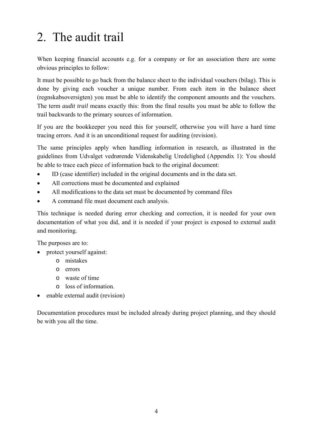# 2. The audit trail

When keeping financial accounts e.g. for a company or for an association there are some obvious principles to follow:

It must be possible to go back from the balance sheet to the individual vouchers (bilag). This is done by giving each voucher a unique number. From each item in the balance sheet (regnskabsoversigten) you must be able to identify the component amounts and the vouchers. The term *audit trail* means exactly this: from the final results you must be able to follow the trail backwards to the primary sources of information.

If you are the bookkeeper you need this for yourself, otherwise you will have a hard time tracing errors. And it is an unconditional request for auditing (revision).

The same principles apply when handling information in research, as illustrated in the guidelines from Udvalget vedrørende Videnskabelig Uredelighed (Appendix 1): You should be able to trace each piece of information back to the original document:

- ID (case identifier) included in the original documents and in the data set.
- All corrections must be documented and explained
- All modifications to the data set must be documented by command files
- A command file must document each analysis.

This technique is needed during error checking and correction, it is needed for your own documentation of what you did, and it is needed if your project is exposed to external audit and monitoring.

The purposes are to:

- protect yourself against:
	- o mistakes
	- o errors
	- o waste of time
	- o loss of information.
- enable external audit (revision)

Documentation procedures must be included already during project planning, and they should be with you all the time.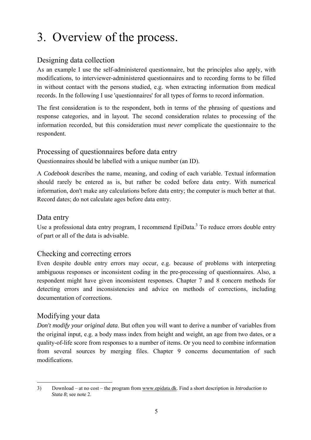# 3. Overview of the process.

#### Designing data collection

As an example I use the self-administered questionnaire, but the principles also apply, with modifications, to interviewer-administered questionnaires and to recording forms to be filled in without contact with the persons studied, e.g. when extracting information from medical records. In the following I use 'questionnaires' for all types of forms to record information.

The first consideration is to the respondent, both in terms of the phrasing of questions and response categories, and in layout. The second consideration relates to processing of the information recorded, but this consideration must *never* complicate the questionnaire to the respondent.

#### Processing of questionnaires before data entry

Questionnaires should be labelled with a unique number (an ID).

A *Codebook* describes the name, meaning, and coding of each variable. Textual information should rarely be entered as is, but rather be coded before data entry. With numerical information, don't make any calculations before data entry; the computer is much better at that. Record dates; do not calculate ages before data entry.

#### Data entry

Use a professional data entry program, I recommend  $EpiData<sup>3</sup>$  To reduce errors double entry of part or all of the data is advisable.

#### Checking and correcting errors

Even despite double entry errors may occur, e.g. because of problems with interpreting ambiguous responses or inconsistent coding in the pre-processing of questionnaires. Also, a respondent might have given inconsistent responses. Chapter 7 and 8 concern methods for detecting errors and inconsistencies and advice on methods of corrections, including documentation of corrections.

#### Modifying your data

 $\overline{a}$ 

*Don't modify your original data*. But often you will want to derive a number of variables from the original input, e.g. a body mass index from height and weight, an age from two dates, or a quality-of-life score from responses to a number of items. Or you need to combine information from several sources by merging files. Chapter 9 concerns documentation of such modifications.

<sup>3)</sup> Download – at no cost – the program from www.epidata.dk. Find a short description in *Introduction to Stata 8*; see note 2.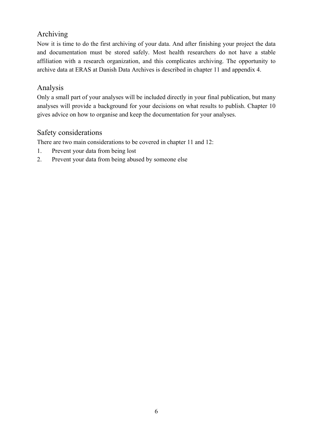#### Archiving

Now it is time to do the first archiving of your data. And after finishing your project the data and documentation must be stored safely. Most health researchers do not have a stable affiliation with a research organization, and this complicates archiving. The opportunity to archive data at ERAS at Danish Data Archives is described in chapter 11 and appendix 4.

#### Analysis

Only a small part of your analyses will be included directly in your final publication, but many analyses will provide a background for your decisions on what results to publish. Chapter 10 gives advice on how to organise and keep the documentation for your analyses.

#### Safety considerations

There are two main considerations to be covered in chapter 11 and 12:

- 1. Prevent your data from being lost
- 2. Prevent your data from being abused by someone else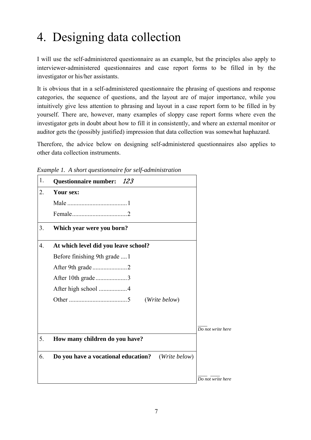# 4. Designing data collection

I will use the self-administered questionnaire as an example, but the principles also apply to interviewer-administered questionnaires and case report forms to be filled in by the investigator or his/her assistants.

It is obvious that in a self-administered questionnaire the phrasing of questions and response categories, the sequence of questions, and the layout are of major importance, while you intuitively give less attention to phrasing and layout in a case report form to be filled in by yourself. There are, however, many examples of sloppy case report forms where even the investigator gets in doubt about how to fill it in consistently, and where an external monitor or auditor gets the (possibly justified) impression that data collection was somewhat haphazard.

Therefore, the advice below on designing self-administered questionnaires also applies to other data collection instruments.



*Example 1. A short questionnaire for self-administration*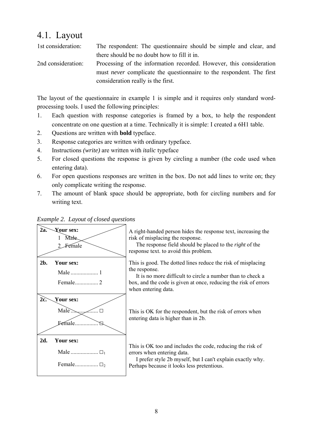### 4.1. Layout

1st consideration: The respondent: The questionnaire should be simple and clear, and there should be no doubt how to fill it in. 2nd consideration: Processing of the information recorded. However, this consideration must *never* complicate the questionnaire to the respondent. The first consideration really is the first.

The layout of the questionnaire in example 1 is simple and it requires only standard wordprocessing tools. I used the following principles:

- 1. Each question with response categories is framed by a box, to help the respondent concentrate on one question at a time. Technically it is simple: I created a 6Η1 table.
- 2. Questions are written with **bold** typeface.
- 3. Response categories are written with ordinary typeface.
- 4. Instructions *(write)* are written with *italic* typeface
- 5. For closed questions the response is given by circling a number (the code used when entering data).
- 6. For open questions responses are written in the box. Do not add lines to write on; they only complicate writing the response.
- 7. The amount of blank space should be appropriate, both for circling numbers and for writing text.



#### *Example 2. Layout of closed questions*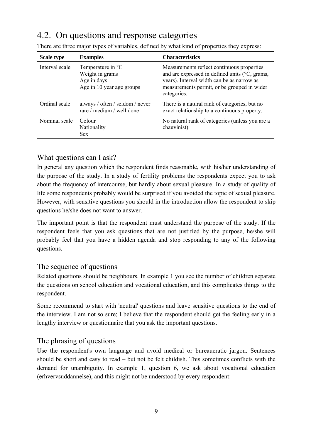## 4.2. On questions and response categories

| <b>Scale type</b> | <b>Examples</b>                                                                  | <b>Characteristics</b>                                                                                                                                                                                   |
|-------------------|----------------------------------------------------------------------------------|----------------------------------------------------------------------------------------------------------------------------------------------------------------------------------------------------------|
| Interval scale    | Temperature in °C<br>Weight in grams<br>Age in days<br>Age in 10 year age groups | Measurements reflect continuous properties<br>and are expressed in defined units (°C, grams,<br>years). Interval width can be as narrow as<br>measurements permit, or be grouped in wider<br>categories. |
| Ordinal scale     | always / often / seldom / never<br>rare / medium / well done                     | There is a natural rank of categories, but no<br>exact relationship to a continuous property.                                                                                                            |
| Nominal scale     | Colour<br>Nationality<br><b>Sex</b>                                              | No natural rank of categories (unless you are a<br>chauvinist).                                                                                                                                          |

There are three major types of variables, defined by what kind of properties they express:

#### What questions can I ask?

In general any question which the respondent finds reasonable, with his/her understanding of the purpose of the study. In a study of fertility problems the respondents expect you to ask about the frequency of intercourse, but hardly about sexual pleasure. In a study of quality of life some respondents probably would be surprised if you avoided the topic of sexual pleasure. However, with sensitive questions you should in the introduction allow the respondent to skip questions he/she does not want to answer.

The important point is that the respondent must understand the purpose of the study. If the respondent feels that you ask questions that are not justified by the purpose, he/she will probably feel that you have a hidden agenda and stop responding to any of the following questions.

#### The sequence of questions

Related questions should be neighbours. In example 1 you see the number of children separate the questions on school education and vocational education, and this complicates things to the respondent.

Some recommend to start with 'neutral' questions and leave sensitive questions to the end of the interview. I am not so sure; I believe that the respondent should get the feeling early in a lengthy interview or questionnaire that you ask the important questions.

#### The phrasing of questions

Use the respondent's own language and avoid medical or bureaucratic jargon. Sentences should be short and easy to read – but not be felt childish. This sometimes conflicts with the demand for unambiguity. In example 1, question 6, we ask about vocational education (erhvervsuddannelse), and this might not be understood by every respondent: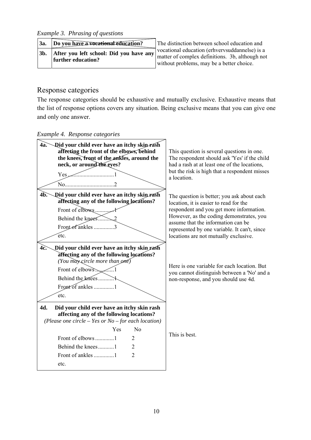*Example 3. Phrasing of questions*

| <b>3a.</b> | Do you have a vocational education?                           | The distinction between school education and                                                                                                   |
|------------|---------------------------------------------------------------|------------------------------------------------------------------------------------------------------------------------------------------------|
| 3b.        | After you left school: Did you have any<br>further education? | vocational education (erhvervsuddannelse) is a<br>matter of complex definitions. 3b, although not<br>without problems, may be a better choice. |

#### Response categories

The response categories should be exhaustive and mutually exclusive. Exhaustive means that the list of response options covers any situation. Being exclusive means that you can give one and only one answer.

*Example 4. Response categories*

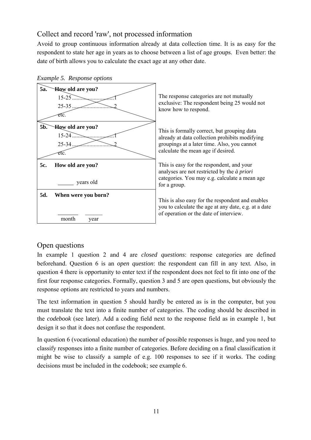#### Collect and record 'raw', not processed information

Avoid to group continuous information already at data collection time. It is as easy for the respondent to state her age in years as to choose between a list of age groups. Even better: the date of birth allows you to calculate the exact age at any other date.





#### Open questions

In example 1 question 2 and 4 are *closed questions*: response categories are defined beforehand. Question 6 is an *open question*: the respondent can fill in any text. Also, in question 4 there is opportunity to enter text if the respondent does not feel to fit into one of the first four response categories. Formally, question 3 and 5 are open questions, but obviously the response options are restricted to years and numbers.

The text information in question 5 should hardly be entered as is in the computer, but you must translate the text into a finite number of categories. The coding should be described in the *codebook* (see later). Add a coding field next to the response field as in example 1, but design it so that it does not confuse the respondent.

In question 6 (vocational education) the number of possible responses is huge, and you need to classify responses into a finite number of categories. Before deciding on a final classification it might be wise to classify a sample of e.g. 100 responses to see if it works. The coding decisions must be included in the codebook; see example 6.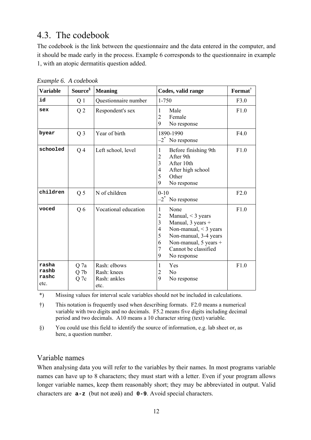### 4.3. The codebook

The codebook is the link between the questionnaire and the data entered in the computer, and it should be made early in the process. Example 6 corresponds to the questionnaire in example 1, with an atopic dermatitis question added.

| <b>Variable</b>                 | Source <sup>§</sup>             | <b>Meaning</b>                                      | Codes, valid range                                                                                                                                                                                                                                                                      | Format <sup>†</sup> |
|---------------------------------|---------------------------------|-----------------------------------------------------|-----------------------------------------------------------------------------------------------------------------------------------------------------------------------------------------------------------------------------------------------------------------------------------------|---------------------|
| id                              | Q 1                             | Questionnaire number                                | 1-750                                                                                                                                                                                                                                                                                   | F3.0                |
| sex                             | Q <sub>2</sub>                  | Respondent's sex                                    | Male<br>1<br>$\overline{2}$<br>Female<br>9<br>No response                                                                                                                                                                                                                               | F1.0                |
| byear                           | $Q_3$                           | Year of birth                                       | 1890-1990<br>$-2^*$ No response                                                                                                                                                                                                                                                         | F4.0                |
| schooled                        | Q <sub>4</sub>                  | Left school, level                                  | $\mathbf{1}$<br>Before finishing 9th<br>After 9th<br>$\overline{2}$<br>$\overline{3}$<br>After 10th<br>$\overline{4}$<br>After high school<br>5<br>Other<br>9<br>No response                                                                                                            | F1.0                |
| children                        | Q <sub>5</sub>                  | N of children                                       | $0 - 10$<br>$-2^*$ No response                                                                                                                                                                                                                                                          | F2.0                |
| voced                           | Q6                              | Vocational education                                | $\mathbf{1}$<br>None<br>$\overline{2}$<br>Manual, $<$ 3 years<br>$\overline{3}$<br>Manual, $3$ years +<br>$\overline{4}$<br>Non-manual, $<$ 3 years<br>5<br>Non-manual, 3-4 years<br>6<br>Non-manual, $5 \text{ years} +$<br>$\overline{7}$<br>Cannot be classified<br>9<br>No response | F1.0                |
| rasha<br>rashb<br>rashc<br>etc. | Q 7a<br>Q <sub>7b</sub><br>Q 7c | Rash: elbows<br>Rash: knees<br>Rash: ankles<br>etc. | Yes<br>1<br>N <sub>0</sub><br>$\overline{c}$<br>9<br>No response                                                                                                                                                                                                                        | F1.0                |

*Example 6. A codebook* 

\*) Missing values for interval scale variables should not be included in calculations.

†) This notation is frequently used when describing formats. F2.0 means a numerical variable with two digits and no decimals. F5.2 means five digits including decimal period and two decimals. A10 means a 10 character string (text) variable.

§) You could use this field to identify the source of information, e.g. lab sheet or, as here, a question number.

#### Variable names

When analysing data you will refer to the variables by their names. In most programs variable names can have up to 8 characters; they must start with a letter. Even if your program allows longer variable names, keep them reasonably short; they may be abbreviated in output. Valid characters are **a-z** (but not æøå) and **0-9**. Avoid special characters.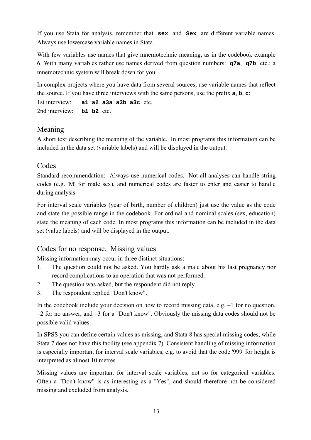If you use Stata for analysis, remember that **sex** and **Sex** are different variable names. Always use lowercase variable names in Stata.

With few variables use names that give mnemotechnic meaning, as in the codebook example 6. With many variables rather use names derived from question numbers: **q7a**, **q7b** etc.; a mnemotechnic system will break down for you.

In complex projects where you have data from several sources, use variable names that reflect the source. If you have three interviews with the same persons, use the prefix **a**, **b**, **c**:

1st interview: **a1 a2 a3a a3b a3c** etc. 2nd interview: **b1 b2** etc.

#### Meaning

A short text describing the meaning of the variable. In most programs this information can be included in the data set (variable labels) and will be displayed in the output.

#### Codes

Standard recommendation: Always use numerical codes. Not all analyses can handle string codes (e.g. 'M' for male sex), and numerical codes are faster to enter and easier to handle during analysis.

For interval scale variables (year of birth, number of children) just use the value as the code and state the possible range in the codebook. For ordinal and nominal scales (sex, education) state the meaning of each code. In most programs this information can be included in the data set (value labels) and will be displayed in the output.

### Codes for no response. Missing values

Missing information may occur in three distinct situations:

- 1. The question could not be asked. You hardly ask a male about his last pregnancy nor record complications to an operation that was not performed.
- 2. The question was asked, but the respondent did not reply
- 3. The respondent replied "Don't know".

In the codebook include your decision on how to record missing data, e.g.  $-1$  for no question, –2 for no answer, and –3 for a "Don't know". Obviously the missing data codes should not be possible valid values.

In SPSS you can define certain values as missing, and Stata 8 has special missing codes, while Stata 7 does not have this facility (see appendix 7). Consistent handling of missing information is especially important for interval scale variables, e.g. to avoid that the code '999' for height is interpreted as almost 10 metres.

Missing values are important for interval scale variables, not so for categorical variables. Often a "Don't know" is as interesting as a "Yes", and should therefore not be considered missing and excluded from analysis.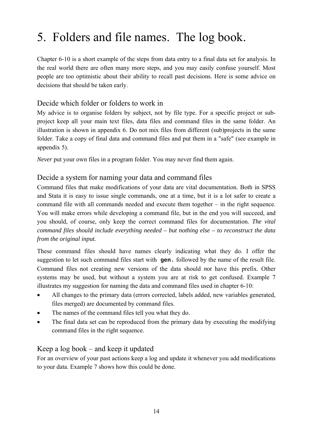# 5. Folders and file names. The log book.

Chapter 6-10 is a short example of the steps from data entry to a final data set for analysis. In the real world there are often many more steps, and you may easily confuse yourself. Most people are too optimistic about their ability to recall past decisions. Here is some advice on decisions that should be taken early.

#### Decide which folder or folders to work in

My advice is to organise folders by subject, not by file type. For a specific project or subproject keep all your main text files, data files and command files in the same folder. An illustration is shown in appendix 6. Do not mix files from different (sub)projects in the same folder. Take a copy of final data and command files and put them in a "safe" (see example in appendix 5).

*Never* put your own files in a program folder. You may never find them again.

#### Decide a system for naming your data and command files

Command files that make modifications of your data are vital documentation. Both in SPSS and Stata it is easy to issue single commands, one at a time, but it is a lot safer to create a command file with all commands needed and execute them together – in the right sequence. You will make errors while developing a command file, but in the end you will succeed, and you should, of course, only keep the correct command files for documentation. *The vital command files should include everything needed – but nothing else – to reconstruct the data from the original input.*

These command files should have names clearly indicating what they do. I offer the suggestion to let such command files start with **gen.** followed by the name of the result file. Command files not creating new versions of the data should *not* have this prefix. Other systems may be used, but without a system you are at risk to get confused. Example 7 illustrates my suggestion for naming the data and command files used in chapter 6-10:

- All changes to the primary data (errors corrected, labels added, new variables generated, files merged) are documented by command files.
- The names of the command files tell you what they do.
- The final data set can be reproduced from the primary data by executing the modifying command files in the right sequence.

#### Keep a log book – and keep it updated

For an overview of your past actions keep a log and update it whenever you add modifications to your data. Example 7 shows how this could be done.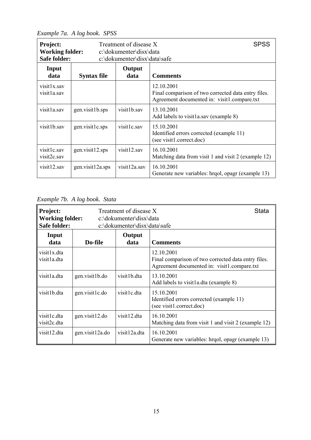*Example 7a. A log book. SPSS*

| <b>Project:</b><br><b>Working folder:</b><br><b>Safe folder:</b> |                    | Treatment of disease X<br>c:\dokumenter\disx\data<br>c:\dokumenter\disx\data\safe | <b>SPSS</b>                                                                                                      |
|------------------------------------------------------------------|--------------------|-----------------------------------------------------------------------------------|------------------------------------------------------------------------------------------------------------------|
| Input<br>data                                                    | <b>Syntax file</b> | Output<br>data                                                                    | <b>Comments</b>                                                                                                  |
| visit1x.sav<br>visit1a.sav                                       |                    |                                                                                   | 12.10.2001<br>Final comparison of two corrected data entry files.<br>Agreement documented in: visit1.compare.txt |
| visit1a.sav                                                      | gen.visit1b.sps    | visit1b.sav                                                                       | 13.10.2001<br>Add labels to visit1a.say (example 8)                                                              |
| visit1b.sav                                                      | gen.visit1c.sps    | visit1c.sav                                                                       | 15.10.2001<br>Identified errors corrected (example 11)<br>(see visit1.correct.doc)                               |
| visit1c.sav<br>visit2c.sav                                       | gen.visit12.sps    | visit12.sav                                                                       | 16.10.2001<br>Matching data from visit 1 and visit 2 (example 12)                                                |
| visit12.sav                                                      | gen.visit12a.sps   | visit12a.sav                                                                      | 16.10.2001<br>Generate new variables: hrqol, opagr (example 13)                                                  |

*Example 7b. A log book. Stata*

| Project:<br><b>Working folder:</b><br>Safe folder: |                 | Treatment of disease X<br>c:\dokumenter\disx\data<br>c:\dokumenter\disx\data\safe | Stata                                                                                                            |
|----------------------------------------------------|-----------------|-----------------------------------------------------------------------------------|------------------------------------------------------------------------------------------------------------------|
| Input<br>data                                      | Do-file         | Output<br>data                                                                    | <b>Comments</b>                                                                                                  |
| visit1x.dta<br>visit1a.dta                         |                 |                                                                                   | 12.10.2001<br>Final comparison of two corrected data entry files.<br>Agreement documented in: visit1.compare.txt |
| visit1a.dta                                        | gen.visit1b.do  | visit1b.dta                                                                       | 13.10.2001<br>Add labels to visit1a.dta (example 8)                                                              |
| visit1b.dta                                        | gen.visit1c.do  | visit1c.dta                                                                       | 15.10.2001<br>Identified errors corrected (example 11)<br>(see visit1.correct.doc)                               |
| visit1c.dta<br>visit2c.dta                         | gen.visit12.do  | visit12.dta                                                                       | 16.10.2001<br>Matching data from visit 1 and visit 2 (example 12)                                                |
| visit12.dta                                        | gen.visit12a.do | visit12a.dta                                                                      | 16.10.2001<br>Generate new variables: hrqol, opagr (example 13)                                                  |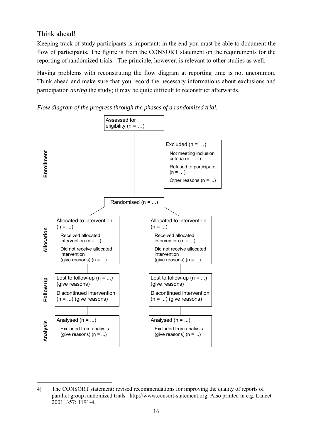Think ahead!

Keeping track of study participants is important; in the end you must be able to document the flow of participants. The figure is from the CONSORT statement on the requirements for the reporting of randomized trials.<sup>4</sup> The principle, however, is relevant to other studies as well.

Having problems with reconstruting the flow diagram at reporting time is not uncommon. Think ahead and make sure that you record the necessary informations about exclusions and participation *during* the study; it may be quite difficult to reconstruct afterwards.





 $\overline{a}$ 4) The CONSORT statement: revised recommendations for improving the quality of reports of parallel group randomized trials. http://www.consort-statement.org. Also printed in e.g. Lancet 2001; 357: 1191-4.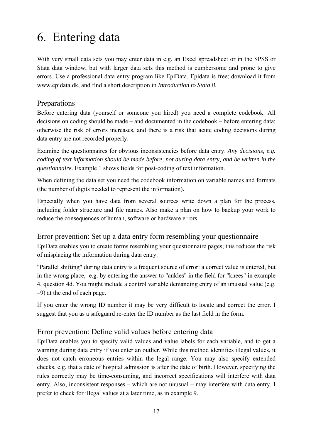# 6. Entering data

With very small data sets you may enter data in e.g. an Excel spreadsheet or in the SPSS or Stata data window, but with larger data sets this method is cumbersome and prone to give errors. Use a professional data entry program like EpiData. Epidata is free; download it from www.epidata.dk, and find a short description in *Introduction to Stata 8*.

#### Preparations

Before entering data (yourself or someone you hired) you need a complete codebook. All decisions on coding should be made – and documented in the codebook – before entering data; otherwise the risk of errors increases, and there is a risk that acute coding decisions during data entry are not recorded properly.

Examine the questionnaires for obvious inconsistencies before data entry. *Any decisions, e.g. coding of text information should be made before, not during data entry, and be written in the questionnaire*. Example 1 shows fields for post-coding of text information.

When defining the data set you need the codebook information on variable names and formats (the number of digits needed to represent the information).

Especially when you have data from several sources write down a plan for the process, including folder structure and file names. Also make a plan on how to backup your work to reduce the consequences of human, software or hardware errors.

Error prevention: Set up a data entry form resembling your questionnaire EpiData enables you to create forms resembling your questionnaire pages; this reduces the risk of misplacing the information during data entry.

"Parallel shifting" during data entry is a frequent source of error: a correct value is entered, but in the wrong place, e.g. by entering the answer to "ankles" in the field for "knees" in example 4, question 4d. You might include a control variable demanding entry of an unusual value (e.g. –9) at the end of each page.

If you enter the wrong ID number it may be very difficult to locate and correct the error. I suggest that you as a safeguard re-enter the ID number as the last field in the form.

#### Error prevention: Define valid values before entering data

EpiData enables you to specify valid values and value labels for each variable, and to get a warning during data entry if you enter an outlier. While this method identifies illegal values, it does not catch erroneous entries within the legal range. You may also specify extended checks, e.g. that a date of hospital admission is after the date of birth. However, specifying the rules correctly may be time-consuming, and incorrect specifications will interfere with data entry. Also, inconsistent responses – which are not unusual – may interfere with data entry. I prefer to check for illegal values at a later time, as in example 9.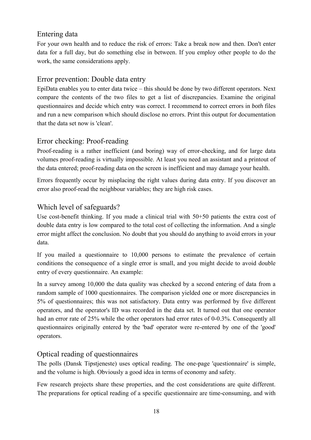#### Entering data

For your own health and to reduce the risk of errors: Take a break now and then. Don't enter data for a full day, but do something else in between. If you employ other people to do the work, the same considerations apply.

#### Error prevention: Double data entry

EpiData enables you to enter data twice – this should be done by two different operators. Next compare the contents of the two files to get a list of discrepancies. Examine the original questionnaires and decide which entry was correct. I recommend to correct errors in *both* files and run a new comparison which should disclose no errors. Print this output for documentation that the data set now is 'clean'.

#### Error checking: Proof-reading

Proof-reading is a rather inefficient (and boring) way of error-checking, and for large data volumes proof-reading is virtually impossible. At least you need an assistant and a printout of the data entered; proof-reading data on the screen is inefficient and may damage your health.

Errors frequently occur by misplacing the right values during data entry. If you discover an error also proof-read the neighbour variables; they are high risk cases.

#### Which level of safeguards?

Use cost-benefit thinking. If you made a clinical trial with 50+50 patients the extra cost of double data entry is low compared to the total cost of collecting the information. And a single error might affect the conclusion. No doubt that you should do anything to avoid errors in your data.

If you mailed a questionnaire to 10,000 persons to estimate the prevalence of certain conditions the consequence of a single error is small, and you might decide to avoid double entry of every questionnaire. An example:

In a survey among 10,000 the data quality was checked by a second entering of data from a random sample of 1000 questionnaires. The comparison yielded one or more discrepancies in 5% of questionnaires; this was not satisfactory. Data entry was performed by five different operators, and the operator's ID was recorded in the data set. It turned out that one operator had an error rate of 25% while the other operators had error rates of 0-0.3%. Consequently all questionnaires originally entered by the 'bad' operator were re-entered by one of the 'good' operators.

#### Optical reading of questionnaires

The polls (Dansk Tipstjeneste) uses optical reading. The one-page 'questionnaire' is simple, and the volume is high. Obviously a good idea in terms of economy and safety.

Few research projects share these properties, and the cost considerations are quite different. The preparations for optical reading of a specific questionnaire are time-consuming, and with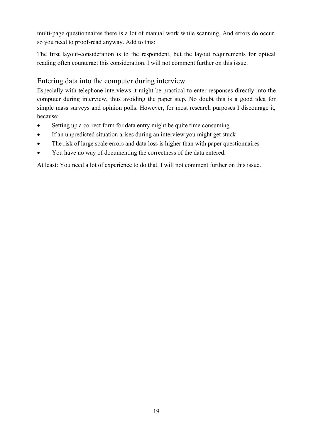multi-page questionnaires there is a lot of manual work while scanning. And errors do occur, so you need to proof-read anyway. Add to this:

The first layout-consideration is to the respondent, but the layout requirements for optical reading often counteract this consideration. I will not comment further on this issue.

#### Entering data into the computer during interview

Especially with telephone interviews it might be practical to enter responses directly into the computer during interview, thus avoiding the paper step. No doubt this is a good idea for simple mass surveys and opinion polls. However, for most research purposes I discourage it, because:

- Setting up a correct form for data entry might be quite time consuming
- If an unpredicted situation arises during an interview you might get stuck
- The risk of large scale errors and data loss is higher than with paper questionnaires
- You have no way of documenting the correctness of the data entered.

At least: You need a lot of experience to do that. I will not comment further on this issue.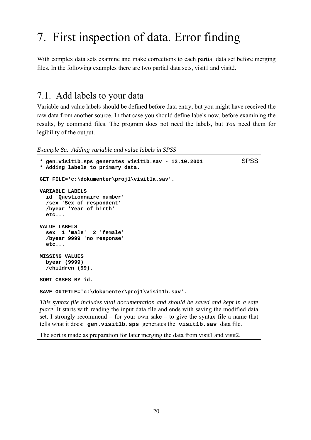## 7. First inspection of data. Error finding

With complex data sets examine and make corrections to each partial data set before merging files. In the following examples there are two partial data sets, visit1 and visit2.

### 7.1. Add labels to your data

Variable and value labels should be defined before data entry, but you might have received the raw data from another source. In that case you should define labels now, before examining the results, by command files. The program does not need the labels, but *You* need them for legibility of the output.

*Example 8a. Adding variable and value labels in SPSS*

```
* gen.visit1b.sps generates visit1b.sav - 12.10.2001 SPSS
* Adding labels to primary data. 
GET FILE='c:\dokumenter\proj1\visit1a.sav'. 
VARIABLE LABELS 
   id 'Questionnaire number' 
   /sex 'Sex of respondent' 
   /byear 'Year of birth' 
   etc... 
VALUE LABELS 
   sex 1 'male' 2 'female' 
   /byear 9999 'no response' 
   etc... 
MISSING VALUES 
  byear (9999) 
   /children (99). 
SORT CASES BY id. 
SAVE OUTFILE='c:\dokumenter\proj1\visit1b.sav'.
```
*This syntax file includes vital documentation and should be saved and kept in a safe place*. It starts with reading the input data file and ends with saving the modified data set. I strongly recommend – for your own sake – to give the syntax file a name that tells what it does: **gen.visit1b.sps** generates the **visit1b.sav** data file.

The sort is made as preparation for later merging the data from visit1 and visit2.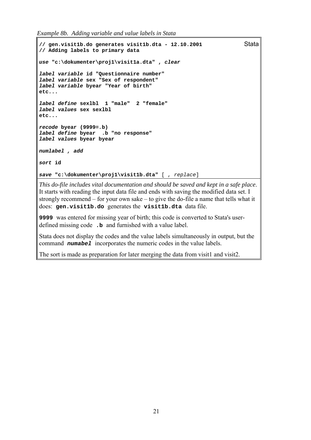*Example 8b. Adding variable and value labels in Stata*

```
// gen.visit1b.do generates visit1b.dta - 12.10.2001 Stata
// Adding labels to primary data 
use "c:\dokumenter\proj1\visit1a.dta" , clear
label variable id "Questionnaire number" 
label variable sex "Sex of respondent" 
label variable byear "Year of birth" 
etc... 
label define sexlbl 1 "male" 2 "female" 
label values sex sexlbl 
etc... 
recode byear (9999=.b) 
label define byear .b "no response" 
label values byear byear 
numlabel , add
sort id 
save "c:\dokumenter\proj1\visit1b.dta" [ , replace]
```
*This do-file includes vital documentation and should be saved and kept in a safe place*. It starts with reading the input data file and ends with saving the modified data set. I strongly recommend – for your own sake – to give the do-file a name that tells what it does: **gen.visit1b.do** generates the **visit1b.dta** data file.

**9999** was entered for missing year of birth; this code is converted to Stata's userdefined missing code **.b** and furnished with a value label.

Stata does not display the codes and the value labels simultaneously in output, but the command *numabel* incorporates the numeric codes in the value labels.

The sort is made as preparation for later merging the data from visit1 and visit2.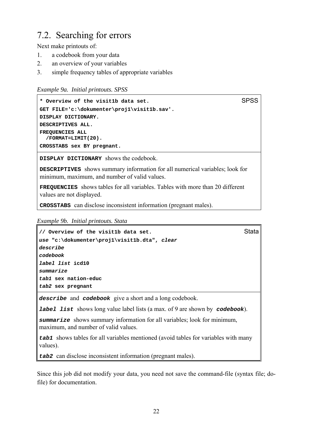### 7.2. Searching for errors

Next make printouts of:

- 1. a codebook from your data
- 2. an overview of your variables
- 3. simple frequency tables of appropriate variables

```
Example 9a. Initial printouts. SPSS
```

```
* Overview of the visit1b data set. SPSS
GET FILE='c:\dokumenter\proj1\visit1b.sav'. 
DISPLAY DICTIONARY. 
DESCRIPTIVES ALL. 
FREQUENCIES ALL 
  /FORMAT=LIMIT(20).
CROSSTABS sex BY pregnant.
```
**DISPLAY DICTIONARY** shows the codebook.

**DESCRIPTIVES** shows summary information for all numerical variables; look for minimum, maximum, and number of valid values.

**FREQUENCIES** shows tables for all variables. Tables with more than 20 different values are not displayed.

**CROSSTABS** can disclose inconsistent information (pregnant males).

*Example 9b. Initial printouts. Stata*

```
// Overview of the visit1b data set. Stata
use "c:\dokumenter\proj1\visit1b.dta", clear
describe
codebook
label list icd10 
summarize
tab1 sex nation-educ 
tab2 sex pregnant
```
*describe* and *codebook* give a short and a long codebook.

*label list* shows long value label lists (a max. of 9 are shown by *codebook*).

*summarize* shows summary information for all variables; look for minimum, maximum, and number of valid values.

*tab1* shows tables for all variables mentioned (avoid tables for variables with many values).

*tab2* can disclose inconsistent information (pregnant males).

Since this job did not modify your data, you need not save the command-file (syntax file; dofile) for documentation.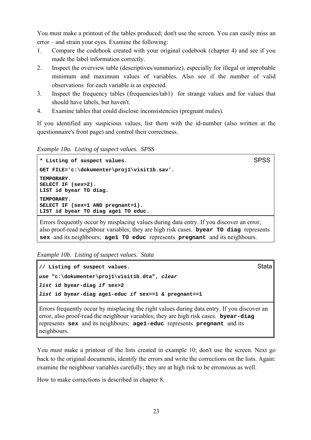You *must* make a printout of the tables produced; don't use the screen. You can easily miss an error – and strain your eyes. Examine the following:

- 1. Compare the codebook created with your original codebook (chapter 4) and see if you made the label information correctly.
- 2. Inspect the overview table (descriptives/summarize), especially for illegal or improbable minimum and maximum values of variables. Also see if the number of valid observations for each variable is as expected.
- 3. Inspect the frequency tables (frequencies/tab1) for strange values and for values that should have labels, but haven't.
- 4. Examine tables that could disclose inconsistencies (pregnant males).

If you identified any suspicious values, list them with the id-number (also written at the questionnaire's front page) and control their correctness.

*Example 10a. Listing of suspect values. SPSS* 

```
* Listing of suspect values. SPSS
GET FILE='c:\dokumenter\proj1\visit1b.sav'. 
TEMPORARY. 
SELECT IF (sex>2). 
LIST id byear TO diag.
TEMPORARY. 
SELECT IF (sex=1 AND pregnant=1). 
LIST id byear TO diag age1 TO educ.
```
Errors frequently occur by misplacing values during data entry. If you discover an error, also proof-read neighbour variables; they are high risk cases. **byear TO diag** represents **sex** and its neighbours; **age1 TO educ** represents **pregnant** and its neighbours.

*Example 10b. Listing of suspect values. Stata*

```
// Listing of suspect values.
use "c:\dokumenter\proj1\visit1b.dta", clear
list id byear-diag if sex>2
list id byear-diag age1-educ if sex==1 & pregnant==1
```
Errors frequently occur by misplacing the right values during data entry. If you discover an error, also proof-read the neighbour variables; they are high risk cases. **byear-diag**  represents **sex** and its neighbours; **age1-educ** represents **pregnant** and its neighbours.

You *must* make a printout of the lists created in example 10; don't use the screen. Next go back to the original documents, identify the errors and write the corrections on the lists. Again: examine the neighbour variables carefully; they are at high risk to be erroneous as well.

How to make corrections is described in chapter 8.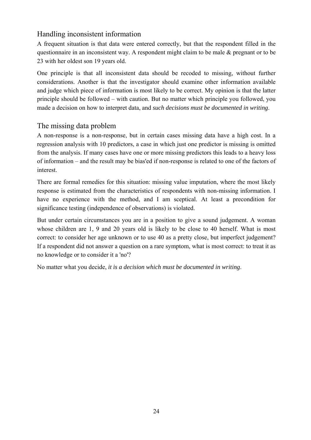#### Handling inconsistent information

A frequent situation is that data were entered correctly, but that the respondent filled in the questionnaire in an inconsistent way. A respondent might claim to be male & pregnant or to be 23 with her oldest son 19 years old.

One principle is that all inconsistent data should be recoded to missing, without further considerations. Another is that the investigator should examine other information available and judge which piece of information is most likely to be correct. My opinion is that the latter principle should be followed – with caution. But no matter which principle you followed, you made a decision on how to interpret data, and *such decisions must be documented in writing*.

#### The missing data problem

A non-response is a non-response, but in certain cases missing data have a high cost. In a regression analysis with 10 predictors, a case in which just one predictor is missing is omitted from the analysis. If many cases have one or more missing predictors this leads to a heavy loss of information – and the result may be bias'ed if non-response is related to one of the factors of interest.

There are formal remedies for this situation: missing value imputation, where the most likely response is estimated from the characteristics of respondents with non-missing information. I have no experience with the method, and I am sceptical. At least a precondition for significance testing (independence of observations) is violated.

But under certain circumstances you are in a position to give a sound judgement. A woman whose children are 1, 9 and 20 years old is likely to be close to 40 herself. What is most correct: to consider her age unknown or to use 40 as a pretty close, but imperfect judgement? If a respondent did not answer a question on a rare symptom, what is most correct: to treat it as no knowledge or to consider it a 'no'?

No matter what you decide, *it is a decision which must be documented in writing*.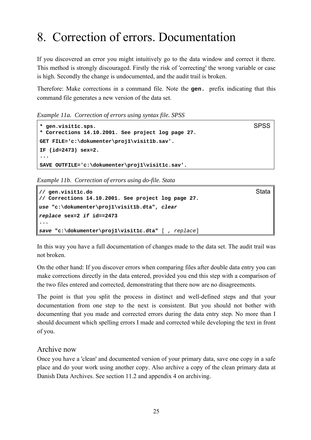# 8. Correction of errors. Documentation

If you discovered an error you might intuitively go to the data window and correct it there. This method is strongly discouraged. Firstly the risk of 'correcting' the wrong variable or case is high. Secondly the change is undocumented, and the audit trail is broken.

Therefore: Make corrections in a command file. Note the **gen.** prefix indicating that this command file generates a new version of the data set.

*Example 11a. Correction of errors using syntax file. SPSS*

```
* gen.visit1c.sps. SPSS
* Corrections 14.10.2001. See project log page 27. 
GET FILE='c:\dokumenter\proj1\visit1b.sav'. 
IF (id=2473) sex=2. 
... 
SAVE OUTFILE='c:\dokumenter\proj1\visit1c.sav'.
```
*Example 11b. Correction of errors using do-file. Stata*

```
// gen.visit1c.do Stata
// Corrections 14.10.2001. See project log page 27. 
use "c:\dokumenter\proj1\visit1b.dta", clear
replace sex=2 if id==2473 
... 
save "c:\dokumenter\proj1\visit1c.dta" [ , replace]
```
In this way you have a full documentation of changes made to the data set. The audit trail was not broken.

On the other hand: If you discover errors when comparing files after double data entry you can make corrections directly in the data entered, provided you end this step with a comparison of the two files entered and corrected, demonstrating that there now are no disagreements.

The point is that you split the process in distinct and well-defined steps and that your documentation from one step to the next is consistent. But you should not bother with documenting that you made and corrected errors during the data entry step. No more than I should document which spelling errors I made and corrected while developing the text in front of you.

#### Archive now

Once you have a 'clean' and documented version of your primary data, save one copy in a safe place and do your work using another copy. Also archive a copy of the clean primary data at Danish Data Archives. See section 11.2 and appendix 4 on archiving.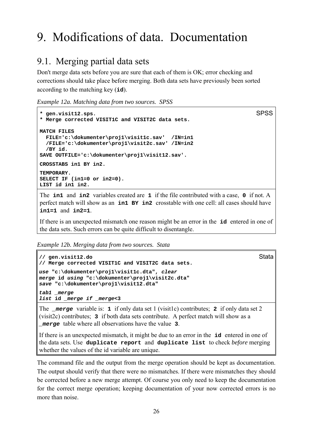# 9. Modifications of data. Documentation

### 9.1. Merging partial data sets

Don't merge data sets before you are sure that each of them is OK; error checking and corrections should take place before merging. Both data sets have previously been sorted according to the matching key (**id**).

*Example 12a. Matching data from two sources. SPSS*

```
* gen.visit12.sps. SPSS
* Merge corrected VISIT1C and VISIT2C data sets. 
MATCH FILES 
  FILE='c:\dokumenter\proj1\visit1c.sav' /IN=in1 
  /FILE='c:\dokumenter\proj1\visit2c.sav' /IN=in2 
   /BY id. 
SAVE OUTFILE='c:\dokumenter\proj1\visit12.sav'. 
CROSSTABS in1 BY in2.
TEMPORARY. 
SELECT IF (in1=0 or in2=0). 
LIST id in1 in2.
```
The **in1** and **in2** variables created are **1** if the file contributed with a case, **0** if not. A perfect match will show as an **in1 BY in2** crosstable with one cell: all cases should have **in1=1** and **in2=1**.

If there is an unexpected mismatch one reason might be an error in the **id** entered in one of the data sets. Such errors can be quite difficult to disentangle.

*Example 12b. Merging data from two sources. Stata*

```
// gen.visit12.do Stata
// Merge corrected VISIT1C and VISIT2C data sets. 
use "c:\dokumenter\proj1\visit1c.dta", clear
merge id using "c:\dokumenter\proj1\visit2c.dta" 
save "c:\dokumenter\proj1\visit12.dta" 
tab1 _merge
list id _merge if _merge<3
```
The *\_merge* variable is: **1** if only data set 1 (visit1c) contributes; **2** if only data set 2 (visit2c) contributes; **3** if both data sets contribute. A perfect match will show as a *\_merge* table where all observations have the value **3**.

If there is an unexpected mismatch, it might be due to an error in the **id** entered in one of the data sets. Use **duplicate report** and **duplicate list** to check *before* merging whether the values of the id variable are unique.

The command file and the output from the merge operation should be kept as documentation. The output should verify that there were no mismatches. If there were mismatches they should be corrected before a new merge attempt. Of course you only need to keep the documentation for the correct merge operation; keeping documentation of your now corrected errors is no more than noise.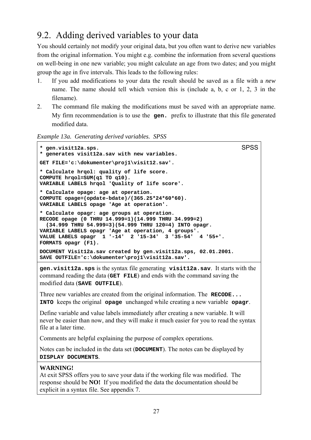## 9.2. Adding derived variables to your data

You should certainly not modify your original data, but you often want to derive new variables from the original information. You might e.g. combine the information from several questions on well-being in one new variable; you might calculate an age from two dates; and you might group the age in five intervals. This leads to the following rules:

- 1. If you add modifications to your data the result should be saved as a file with a *new* name. The name should tell which version this is (include a, b, c or 1, 2, 3 in the filename).
- 2. The command file making the modifications must be saved with an appropriate name. My firm recommendation is to use the **gen.** prefix to illustrate that this file generated modified data.
- *Example 13a. Generating derived variables. SPSS*

```
* gen.visit12a.sps. SPSS
* generates visit12a.sav with new variables. 
GET FILE='c:\dokumenter\proj1\visit12.sav'. 
* Calculate hrqol: quality of life score. 
COMPUTE hrqol=SUM(q1 TO q10). 
VARIABLE LABELS hrqol 'Quality of life score'. 
* Calculate opage: age at operation. 
COMPUTE opage=(opdate-bdate)/(365.25*24*60*60). 
VARIABLE LABELS opage 'Age at operation'. 
* Calculate opagr: age groups at operation. 
RECODE opage (0 THRU 14.999=1)(14.999 THRU 34.999=2) 
   (34.999 THRU 54.999=3)(54.999 THRU 120=4) INTO opagr. 
VARIABLE LABELS opagr 'Age at operation, 4 groups'. 
VALUE LABELS opagr 1 '-14' 2 '15-34' 3 '35-54' 4 '55+'. 
FORMATS opagr (F1). 
DOCUMENT Visit12a.sav created by gen.visit12a.sps, 02.01.2001. 
SAVE OUTFILE='c:\dokumenter\proj1\visit12a.sav'.
gen.visit12a.sps is the syntax file generating visit12a.sav. It starts with the 
command reading the data (GET FILE) and ends with the command saving the 
modified data (SAVE OUTFILE). 
Three new variables are created from the original information. The RECODE... 
INTO keeps the original opage unchanged while creating a new variable opagr. 
Define variable and value labels immediately after creating a new variable. It will 
never be easier than now, and they will make it much easier for you to read the syntax 
file at a later time. 
Comments are helpful explaining the purpose of complex operations. 
Notes can be included in the data set (DOCUMENT). The notes can be displayed by 
DISPLAY DOCUMENTS. 
WARNING!
At exit SPSS offers you to save your data if the working file was modified. The 
response should be NO! If you modified the data the documentation should be 
explicit in a syntax file. See appendix 7.
```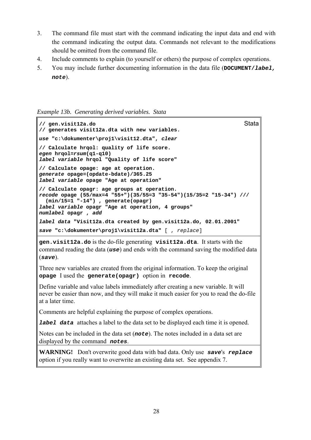- 3. The command file must start with the command indicating the input data and end with the command indicating the output data. Commands not relevant to the modifications should be omitted from the command file.
- 4. Include comments to explain (to yourself or others) the purpose of complex operations.
- 5. You may include further documenting information in the data file (**DOCUMENT/***label, note*).

*Example 13b. Generating derived variables. Stata*

```
// gen.visit12a.do Stata
// generates visit12a.dta with new variables. 
use "c:\dokumenter\proj1\visit12.dta", clear
// Calculate hrqol: quality of life score. 
egen hrqol=rsum(q1-q10) 
label variable hrqol "Quality of life score" 
// Calculate opage: age at operation. 
generate opage=(opdate-bdate)/365.25 
label variable opage "Age at operation" 
// Calculate opagr: age groups at operation. 
recode opage (55/max=4 "55+")(35/55=3 "35-54")(15/35=2 "15-34") /// 
   (min/15=1 "-14") , generate(opagr) 
label variable opagr "Age at operation, 4 groups" 
numlabel opagr , add
label data "Visit12a.dta created by gen.visit12a.do, 02.01.2001" 
save "c:\dokumenter\proj1\visit12a.dta" [ , replace]
```
**gen.visit12a.do** is the do-file generating **visit12a.dta**. It starts with the command reading the data (*use*) and ends with the command saving the modified data (*save*).

Three new variables are created from the original information. To keep the original **opage** I used the **generate(opagr)** option in **recode**.

Define variable and value labels immediately after creating a new variable. It will never be easier than now, and they will make it much easier for you to read the do-file at a later time.

Comments are helpful explaining the purpose of complex operations.

*label data* attaches a label to the data set to be displayed each time it is opened.

Notes can be included in the data set (*note*). The notes included in a data set are displayed by the command *notes*.

**WARNING!** Don't overwrite good data with bad data. Only use *save*'s *replace* option if you really want to overwrite an existing data set. See appendix 7.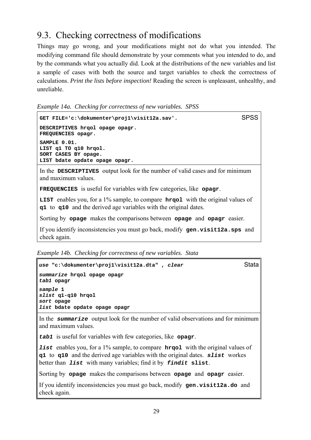## 9.3. Checking correctness of modifications

Things may go wrong, and your modifications might not do what you intended. The modifying command file should demonstrate by your comments what you intended to do, and by the commands what you actually did. Look at the distributions of the new variables and list a sample of cases with both the source and target variables to check the correctness of calculations. *Print the lists before inspection!* Reading the screen is unpleasant, unhealthy, and unreliable.

*Example 14a. Checking for correctness of new variables. SPSS*

```
GET FILE='c:\dokumenter\proj1\visit12a.sav'. SPSS
DESCRIPTIVES hrqol opage opagr. 
FREQUENCIES opagr. 
SAMPLE 0.01. 
LIST q1 TO q10 hrqol. 
SORT CASES BY opage. 
LIST bdate opdate opage opagr.
In the DESCRIPTIVES output look for the number of valid cases and for minimum 
and maximum values. 
FREQUENCIES is useful for variables with few categories, like opagr. 
LIST enables you, for a 1% sample, to compare hrqol with the original values of
q1 to q10 and the derived age variables with the original dates.
```
Sorting by **opage** makes the comparisons between **opage** and **opagr** easier.

If you identify inconsistencies you must go back, modify **gen.visit12a.sps** and check again.

*Example 14b. Checking for correctness of new variables. Stata*

```
use "c:\dokumenter\proj1\visit12a.dta" , clear Stata
summarize hrqol opage opagr 
tab1 opagr 
sample 1 
slist q1-q10 hrqol 
sort opage 
list bdate opdate opage opagr
```
In the *summarize* output look for the number of valid observations and for minimum and maximum values.

*tab1* is useful for variables with few categories, like **opagr**.

*list* enables you, for a 1% sample, to compare **hrqol** with the original values of **q1** to **q10** and the derived age variables with the original dates. *slist* workes better than *list* with many variables; find it by *findit* **slist**.

Sorting by **opage** makes the comparisons between **opage** and **opagr** easier.

If you identify inconsistencies you must go back, modify **gen.visit12a.do** and check again.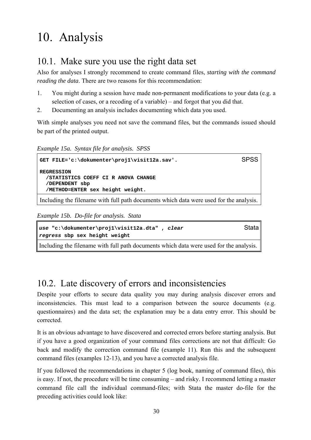# 10. Analysis

## 10.1. Make sure you use the right data set

Also for analyses I strongly recommend to create command files, *starting with the command reading the data*. There are two reasons for this recommendation:

- 1. You might during a session have made non-permanent modifications to your data (e.g. a selection of cases, or a recoding of a variable) – and forgot that you did that.
- 2. Documenting an analysis includes documenting which data you used.

With simple analyses you need not save the command files, but the commands issued should be part of the printed output.

*Example 15a. Syntax file for analysis. SPSS*

```
GET FILE='c:\dokumenter\proj1\visit12a.sav'. SPSS
REGRESSION 
   /STATISTICS COEFF CI R ANOVA CHANGE 
   /DEPENDENT sbp 
   /METHOD=ENTER sex height weight.
Including the filename with full path documents which data were used for the analysis.
```
*Example 15b. Do-file for analysis. Stata*

```
use "c:\dokumenter\proj1\visit12a.dta" , clear Stata
regress sbp sex height weight
```
Including the filename with full path documents which data were used for the analysis.

## 10.2. Late discovery of errors and inconsistencies

Despite your efforts to secure data quality you may during analysis discover errors and inconsistencies. This must lead to a comparison between the source documents (e.g. questionnaires) and the data set; the explanation may be a data entry error. This should be corrected.

It is an obvious advantage to have discovered and corrected errors before starting analysis. But if you have a good organization of your command files corrections are not that difficult: Go back and modify the correction command file (example 11). Run this and the subsequent command files (examples 12-13), and you have a corrected analysis file.

If you followed the recommendations in chapter 5 (log book, naming of command files), this is easy. If not, the procedure will be time consuming – and risky. I recommend letting a master command file call the individual command-files; with Stata the master do-file for the preceding activities could look like: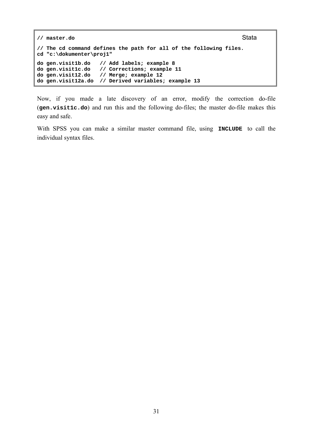```
// master.do Stata
// The cd command defines the path for all of the following files. 
cd "c:\dokumenter\proj1" 
do gen.visit1b.do // Add labels; example 8 
                // Corrections; example 11
do gen.visit12.do // Merge; example 12 
do gen.visit12a.do // Derived variables; example 13
```
Now, if you made a late discovery of an error, modify the correction do-file (**gen.visit1c.do**) and run this and the following do-files; the master do-file makes this easy and safe.

With SPSS you can make a similar master command file, using **INCLUDE** to call the individual syntax files.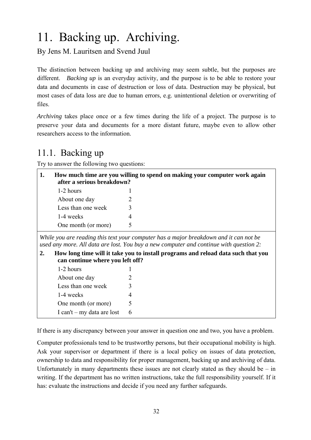# 11. Backing up. Archiving.

By Jens M. Lauritsen and Svend Juul

The distinction between backing up and archiving may seem subtle, but the purposes are different. *Backing up* is an everyday activity, and the purpose is to be able to restore your data and documents in case of destruction or loss of data. Destruction may be physical, but most cases of data loss are due to human errors, e.g. unintentional deletion or overwriting of files.

*Archiving* takes place once or a few times during the life of a project. The purpose is to preserve your data and documents for a more distant future, maybe even to allow other researchers access to the information.

## 11.1. Backing up

Try to answer the following two questions:

| How much time are you willing to spend on making your computer work again<br>after a serious breakdown? |                     |  |
|---------------------------------------------------------------------------------------------------------|---------------------|--|
|                                                                                                         | 1-2 hours           |  |
|                                                                                                         | About one day       |  |
|                                                                                                         | Less than one week  |  |
|                                                                                                         | 1-4 weeks           |  |
|                                                                                                         | One month (or more) |  |

*While you are reading this text your computer has a major breakdown and it can not be used any more. All data are lost. You buy a new computer and continue with question 2:*

**2. How long time will it take you to install programs and reload data such that you can continue where you left off?**

| 1-2 hours                    |   |
|------------------------------|---|
| About one day                | 2 |
| Less than one week           | 3 |
| 1-4 weeks                    | 4 |
| One month (or more)          | 5 |
| I can't $-$ my data are lost | h |

If there is any discrepancy between your answer in question one and two, you have a problem.

Computer professionals tend to be trustworthy persons, but their occupational mobility is high. Ask your supervisor or department if there is a local policy on issues of data protection, ownership to data and responsibility for proper management, backing up and archiving of data. Unfortunately in many departments these issues are not clearly stated as they should be  $-$  in writing. If the department has no written instructions, take the full responsibility yourself. If it has: evaluate the instructions and decide if you need any further safeguards.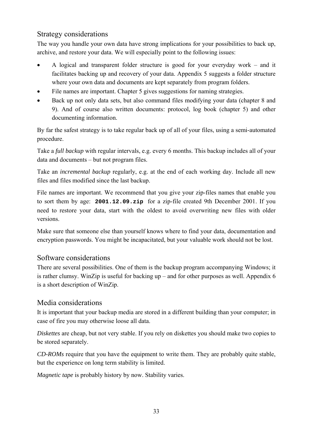#### Strategy considerations

The way you handle your own data have strong implications for your possibilities to back up, archive, and restore your data. We will especially point to the following issues:

- A logical and transparent folder structure is good for your everyday work and it facilitates backing up and recovery of your data. Appendix 5 suggests a folder structure where your own data and documents are kept separately from program folders.
- File names are important. Chapter 5 gives suggestions for naming strategies.
- Back up not only data sets, but also command files modifying your data (chapter 8 and 9). And of course also written documents: protocol, log book (chapter 5) and other documenting information.

By far the safest strategy is to take regular back up of all of your files, using a semi-automated procedure.

Take a *full backup* with regular intervals, e.g. every 6 months. This backup includes all of your data and documents – but not program files.

Take an *incremental backup* regularly, e.g. at the end of each working day. Include all new files and files modified since the last backup.

File names are important. We recommend that you give your zip-files names that enable you to sort them by age: **2001.12.09.zip** for a zip-file created 9th December 2001. If you need to restore your data, start with the oldest to avoid overwriting new files with older versions.

Make sure that someone else than yourself knows where to find your data, documentation and encryption passwords. You might be incapacitated, but your valuable work should not be lost.

#### Software considerations

There are several possibilities. One of them is the backup program accompanying Windows; it is rather clumsy. WinZip is useful for backing up – and for other purposes as well. Appendix 6 is a short description of WinZip.

#### Media considerations

It is important that your backup media are stored in a different building than your computer; in case of fire you may otherwise loose all data.

*Diskettes* are cheap, but not very stable. If you rely on diskettes you should make two copies to be stored separately.

*CD-ROMs* require that you have the equipment to write them. They are probably quite stable, but the experience on long term stability is limited.

*Magnetic tape* is probably history by now. Stability varies.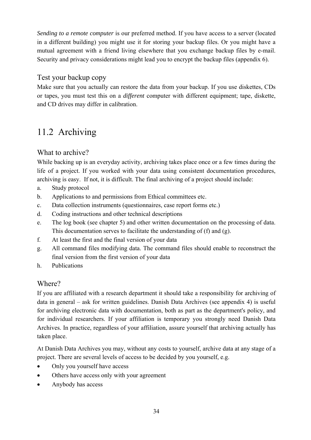*Sending to a remote computer* is our preferred method. If you have access to a server (located in a different building) you might use it for storing your backup files. Or you might have a mutual agreement with a friend living elsewhere that you exchange backup files by e-mail. Security and privacy considerations might lead you to encrypt the backup files (appendix 6).

#### Test your backup copy

Make sure that you actually can restore the data from your backup. If you use diskettes, CDs or tapes, you must test this on a *different* computer with different equipment; tape, diskette, and CD drives may differ in calibration.

## 11.2 Archiving

#### What to archive?

While backing up is an everyday activity, archiving takes place once or a few times during the life of a project. If you worked with your data using consistent documentation procedures, archiving is easy. If not, it is difficult. The final archiving of a project should include:

- a. Study protocol
- b. Applications to and permissions from Ethical committees etc.
- c. Data collection instruments (questionnaires, case report forms etc.)
- d. Coding instructions and other technical descriptions
- e. The log book (see chapter 5) and other written documentation on the processing of data. This documentation serves to facilitate the understanding of (f) and (g).
- f. At least the first and the final version of your data
- g. All command files modifying data. The command files should enable to reconstruct the final version from the first version of your data
- h. Publications

#### Where?

If you are affiliated with a research department it should take a responsibility for archiving of data in general – ask for written guidelines. Danish Data Archives (see appendix 4) is useful for archiving electronic data with documentation, both as part as the department's policy, and for individual researchers. If your affiliation is temporary you strongly need Danish Data Archives. In practice, regardless of your affiliation, assure yourself that archiving actually has taken place.

At Danish Data Archives you may, without any costs to yourself, archive data at any stage of a project. There are several levels of access to be decided by you yourself, e.g.

- Only you yourself have access
- Others have access only with your agreement
- Anybody has access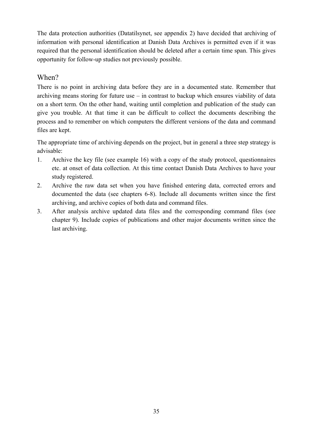The data protection authorities (Datatilsynet, see appendix 2) have decided that archiving of information with personal identification at Danish Data Archives is permitted even if it was required that the personal identification should be deleted after a certain time span. This gives opportunity for follow-up studies not previously possible.

#### When?

There is no point in archiving data before they are in a documented state. Remember that archiving means storing for future use – in contrast to backup which ensures viability of data on a short term. On the other hand, waiting until completion and publication of the study can give you trouble. At that time it can be difficult to collect the documents describing the process and to remember on which computers the different versions of the data and command files are kept.

The appropriate time of archiving depends on the project, but in general a three step strategy is advisable:

- 1. Archive the key file (see example 16) with a copy of the study protocol, questionnaires etc. at onset of data collection. At this time contact Danish Data Archives to have your study registered.
- 2. Archive the raw data set when you have finished entering data, corrected errors and documented the data (see chapters 6-8). Include all documents written since the first archiving, and archive copies of both data and command files.
- 3. After analysis archive updated data files and the corresponding command files (see chapter 9). Include copies of publications and other major documents written since the last archiving.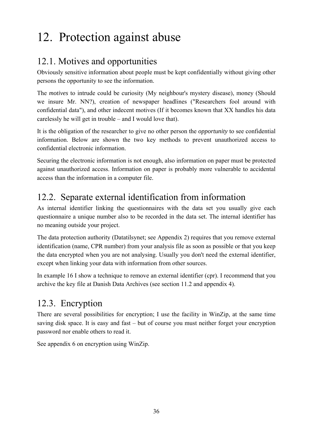# 12. Protection against abuse

## 12.1. Motives and opportunities

Obviously sensitive information about people must be kept confidentially without giving other persons the opportunity to see the information.

The *motives* to intrude could be curiosity (My neighbour's mystery disease), money (Should we insure Mr. NN?), creation of newspaper headlines ("Researchers fool around with confidential data"), and other indecent motives (If it becomes known that XX handles his data carelessly he will get in trouble – and I would love that).

It is the obligation of the researcher to give no other person the *opportunity* to see confidential information. Below are shown the two key methods to prevent unauthorized access to confidential electronic information.

Securing the electronic information is not enough, also information on paper must be protected against unauthorized access. Information on paper is probably more vulnerable to accidental access than the information in a computer file.

## 12.2. Separate external identification from information

As internal identifier linking the questionnaires with the data set you usually give each questionnaire a unique number also to be recorded in the data set. The internal identifier has no meaning outside your project.

The data protection authority (Datatilsynet; see Appendix 2) requires that you remove external identification (name, CPR number) from your analysis file as soon as possible or that you keep the data encrypted when you are not analysing. Usually you don't need the external identifier, except when linking your data with information from other sources.

In example 16 I show a technique to remove an external identifier (cpr). I recommend that you archive the key file at Danish Data Archives (see section 11.2 and appendix 4).

## 12.3. Encryption

There are several possibilities for encryption; I use the facility in WinZip, at the same time saving disk space. It is easy and fast – but of course you must neither forget your encryption password nor enable others to read it.

See appendix 6 on encryption using WinZip.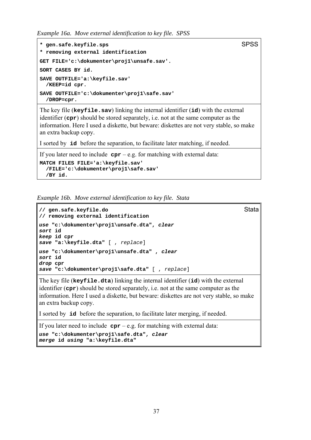*Example 16a. Move external identification to key file. SPSS*

```
* gen.safe.keyfile.sps
* removing external identification 
GET FILE='c:\dokumenter\proj1\unsafe.sav'. 
SORT CASES BY id. 
SAVE OUTFILE='a:\keyfile.sav' 
  /KEEP=id cpr. 
SAVE OUTFILE='c:\dokumenter\proj1\safe.sav' 
  /DROP=cpr.
```
The key file (**keyfile.sav**) linking the internal identifier (**id**) with the external identifier (**cpr**) should be stored separately, i.e. not at the same computer as the information. Here I used a diskette, but beware: diskettes are not very stable, so make an extra backup copy.

I sorted by **id** before the separation, to facilitate later matching, if needed.

If you later need to include  $cpr - e.g.$  for matching with external data:

```
MATCH FILES FILE='a:\keyfile.sav' 
   /FILE='c:\dokumenter\proj1\safe.sav' 
   /BY id.
```
*Example 16b. Move external identification to key file. Stata*

```
// gen.safe.keyfile.do Stata
// removing external identification 
use "c:\dokumenter\proj1\unsafe.dta", clear
sort id 
keep id cpr 
save "a:\keyfile.dta" [ , replace]
use "c:\dokumenter\proj1\unsafe.dta" , clear
sort id 
drop cpr 
save "c:\dokumenter\proj1\safe.dta" [ , replace]
```
The key file (**keyfile.dta**) linking the internal identifier (**id**) with the external identifier (**cpr**) should be stored separately, i.e. not at the same computer as the information. Here I used a diskette, but beware: diskettes are not very stable, so make an extra backup copy.

I sorted by **id** before the separation, to facilitate later merging, if needed.

If you later need to include  $cpr - e.g.$  for matching with external data:

```
use "c:\dokumenter\proj1\safe.dta", clear
merge id using "a:\keyfile.dta"
```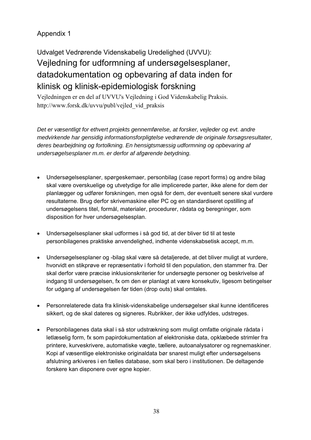### Appendix 1

Udvalget Vedrørende Videnskabelig Uredelighed (UVVU): Vejledning for udformning af undersøgelsesplaner, datadokumentation og opbevaring af data inden for klinisk og klinisk-epidemiologisk forskning

Vejledningen er en del af UVVU's Vejledning i God Videnskabelig Praksis. http://www.forsk.dk/uvvu/publ/vejled\_vid\_praksis

*Det er væsentligt for ethvert projekts gennemførelse, at forsker, vejleder og evt. andre medvirkende har gensidig informationsforpligtelse vedrørende de originale forsøgsresultater, deres bearbejdning og fortolkning. En hensigtsmæssig udformning og opbevaring af undersøgelsesplaner m.m. er derfor af afgørende betydning.*

- Undersøgelsesplaner, spørgeskemaer, personbilag (case report forms) og andre bilag skal være overskuelige og utvetydige for alle implicerede parter, ikke alene for dem der planlægger og udfører forskningen, men også for dem, der eventuelt senere skal vurdere resultaterne. Brug derfor skrivemaskine eller PC og en standardiseret opstilling af undersøgelsens titel, formål, materialer, procedurer, rådata og beregninger, som disposition for hver undersøgelsesplan.
- Undersøgelsesplaner skal udformes i så god tid, at der bliver tid til at teste personbilagenes praktiske anvendelighed, indhente videnskabsetisk accept, m.m.
- Undersøgelsesplaner og -bilag skal være så detaljerede, at det bliver muligt at vurdere, hvorvidt en stikprøve er repræsentativ i forhold til den population, den stammer fra. Der skal derfor være præcise inklusionskriterier for undersøgte personer og beskrivelse af indgang til undersøgelsen, fx om den er planlagt at være konsekutiv, ligesom betingelser for udgang af undersøgelsen før tiden (drop outs) skal omtales.
- Personrelaterede data fra klinisk-videnskabelige undersøgelser skal kunne identificeres sikkert, og de skal dateres og signeres. Rubrikker, der ikke udfyldes, udstreges.
- Personbilagenes data skal i så stor udstrækning som muligt omfatte originale rådata i letlæselig form, fx som papirdokumentation af elektroniske data, opklæbede strimler fra printere, kurveskrivere, automatiske vægte, tællere, autoanalysatorer og regnemaskiner. Kopi af væsentlige elektroniske originaldata bør snarest muligt efter undersøgelsens afslutning arkiveres i en fælles database, som skal bero i institutionen. De deltagende forskere kan disponere over egne kopier.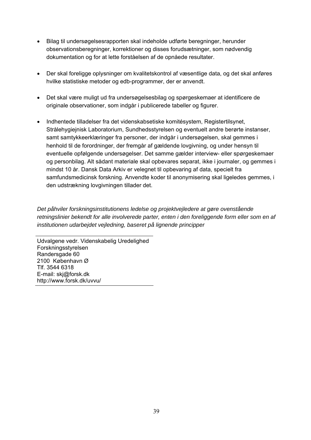- Bilag til undersøgelsesrapporten skal indeholde udførte beregninger, herunder observationsberegninger, korrektioner og disses forudsætninger, som nødvendig dokumentation og for at lette forståelsen af de opnåede resultater.
- Der skal foreligge oplysninger om kvalitetskontrol af væsentlige data, og det skal anføres hvilke statistiske metoder og edb-programmer, der er anvendt.
- Det skal være muligt ud fra undersøgelsesbilag og spørgeskemaer at identificere de originale observationer, som indgår i publicerede tabeller og figurer.
- Indhentede tilladelser fra det videnskabsetiske komitésystem, Registertilsynet, Strålehygiejnisk Laboratorium, Sundhedsstyrelsen og eventuelt andre berørte instanser, samt samtykkeerklæringer fra personer, der indgår i undersøgelsen, skal gemmes i henhold til de forordninger, der fremgår af gældende lovgivning, og under hensyn til eventuelle opfølgende undersøgelser. Det samme gælder interview- eller spørgeskemaer og personbilag. Alt sådant materiale skal opbevares separat, ikke i journaler, og gemmes i mindst 10 år. Dansk Data Arkiv er velegnet til opbevaring af data, specielt fra samfundsmedicinsk forskning. Anvendte koder til anonymisering skal ligeledes gemmes, i den udstrækning lovgivningen tillader det.

*Det påhviler forskningsinstitutionens ledelse og projektvejledere at gøre ovenstående retningslinier bekendt for alle involverede parter, enten i den foreliggende form eller som en af institutionen udarbejdet vejledning, baseret på lignende principper*

Udvalgene vedr. Videnskabelig Uredelighed Forskningsstyrelsen Randersgade 60 2100 København Ø Tlf. 3544 6318 E-mail: skj@forsk.dk http://www.forsk.dk/uvvu/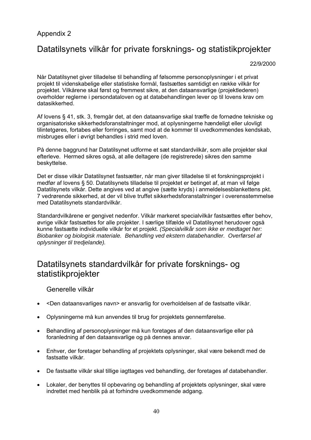#### Appendix 2

### Datatilsynets vilkår for private forsknings- og statistikprojekter

22/9/2000

Når Datatilsynet giver tilladelse til behandling af følsomme personoplysninger i et privat projekt til videnskabelige eller statistiske formål, fastsættes samtidigt en række vilkår for projektet. Vilkårene skal først og fremmest sikre, at den dataansvarlige (projektlederen) overholder reglerne i persondataloven og at databehandlingen lever op til lovens krav om datasikkerhed.

Af lovens § 41, stk. 3, fremgår det, at den dataansvarlige skal træffe de fornødne tekniske og organisatoriske sikkerhedsforanstaltninger mod, at oplysningerne hændeligt eller ulovligt tilintetgøres, fortabes eller forringes, samt mod at de kommer til uvedkommendes kendskab, misbruges eller i øvrigt behandles i strid med loven.

På denne baggrund har Datatilsynet udforme et sæt standardvilkår, som alle projekter skal efterleve. Hermed sikres også, at alle deltagere (de registrerede) sikres den samme beskyttelse.

Det er disse vilkår Datatilsynet fastsætter, når man giver tilladelse til et forskningsprojekt i medfør af lovens § 50. Datatilsynets tilladelse til projektet er betinget af, at man vil følge Datatilsynets vilkår. Dette angives ved at angive (sætte kryds) i anmeldelsesblankettens pkt. 7 vedrørende sikkerhed, at der vil blive truffet sikkerhedsforanstaltninger i overensstemmelse med Datatilsynets standardvilkår.

Standardvilkårene er gengivet nedenfor. Vilkår markeret specialvilkår fastsættes efter behov, øvrige vilkår fastsættes for alle projekter. I særlige tilfælde vil Datatilsynet herudover også kunne fastsætte individuelle vilkår for et projekt. *(Specialvilkår som ikke er medtaget her: Biobanker og biologisk materiale. Behandling ved ekstern databehandler. Overførsel af oplysninger til tredjelande).*

### Datatilsynets standardvilkår for private forsknings- og statistikprojekter

Generelle vilkår

- <Den dataansvarliges navn> er ansvarlig for overholdelsen af de fastsatte vilkår.
- Oplysningerne må kun anvendes til brug for projektets gennemførelse.
- Behandling af personoplysninger må kun foretages af den dataansvarlige eller på foranledning af den dataansvarlige og på dennes ansvar.
- Enhver, der foretager behandling af projektets oplysninger, skal være bekendt med de fastsatte vilkår.
- De fastsatte vilkår skal tillige iagttages ved behandling, der foretages af databehandler.
- Lokaler, der benyttes til opbevaring og behandling af projektets oplysninger, skal være indrettet med henblik på at forhindre uvedkommende adgang.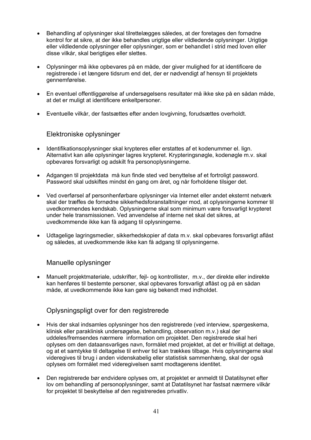- Behandling af oplysninger skal tilrettelægges således, at der foretages den fornødne kontrol for at sikre, at der ikke behandles urigtige eller vildledende oplysninger. Urigtige eller vildledende oplysninger eller oplysninger, som er behandlet i strid med loven eller disse vilkår, skal berigtiges eller slettes.
- Oplysninger må ikke opbevares på en måde, der giver mulighed for at identificere de registrerede i et længere tidsrum end det, der er nødvendigt af hensyn til projektets gennemførelse.
- En eventuel offentliggørelse af undersøgelsens resultater må ikke ske på en sådan måde, at det er muligt at identificere enkeltpersoner.
- Eventuelle vilkår, der fastsættes efter anden lovgivning, forudsættes overholdt.

#### Elektroniske oplysninger

- Identifikationsoplysninger skal krypteres eller erstattes af et kodenummer el. lign. Alternativt kan alle oplysninger lagres krypteret. Krypteringsnøgle, kodenøgle m.v. skal opbevares forsvarligt og adskilt fra personoplysningerne.
- Adgangen til projektdata må kun finde sted ved benyttelse af et fortroligt password. Password skal udskiftes mindst én gang om året, og når forholdene tilsiger det.
- Ved overførsel af personhenførbare oplysninger via Internet eller andet eksternt netværk skal der træffes de fornødne sikkerhedsforanstaltninger mod, at oplysningerne kommer til uvedkommendes kendskab. Oplysningerne skal som minimum være forsvarligt krypteret under hele transmissionen. Ved anvendelse af interne net skal det sikres, at uvedkommende ikke kan få adgang til oplysningerne.
- Udtagelige lagringsmedier, sikkerhedskopier af data m.v. skal opbevares forsvarligt aflåst og således, at uvedkommende ikke kan få adgang til oplysningerne.

#### Manuelle oplysninger

• Manuelt projektmateriale, udskrifter, fejl- og kontrollister, m.v., der direkte eller indirekte kan henføres til bestemte personer, skal opbevares forsvarligt aflåst og på en sådan måde, at uvedkommende ikke kan gøre sig bekendt med indholdet.

#### Oplysningspligt over for den registrerede

- Hvis der skal indsamles oplysninger hos den registrerede (ved interview, spørgeskema, klinisk eller paraklinisk undersøgelse, behandling, observation m.v.) skal der uddeles/fremsendes nærmere information om projektet. Den registrerede skal heri oplyses om den dataansvarliges navn, formålet med projektet, at det er frivilligt at deltage, og at et samtykke til deltagelse til enhver tid kan trækkes tilbage. Hvis oplysningerne skal videregives til brug i anden videnskabelig eller statistisk sammenhæng, skal der også oplyses om formålet med videregivelsen samt modtagerens identitet.
- Den registrerede bør endvidere oplyses om, at projektet er anmeldt til Datatilsynet efter lov om behandling af personoplysninger, samt at Datatilsynet har fastsat nærmere vilkår for projektet til beskyttelse af den registreredes privatliv.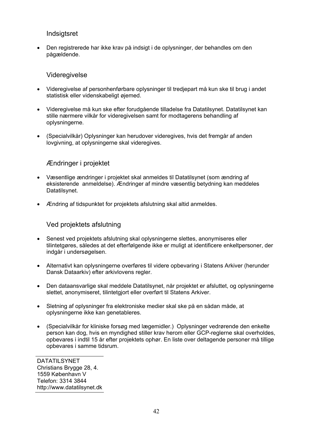#### **Indsigtsret**

• Den registrerede har ikke krav på indsigt i de oplysninger, der behandles om den pågældende.

#### Videregivelse

- Videregivelse af personhenførbare oplysninger til tredjepart må kun ske til brug i andet statistisk eller videnskabeligt øjemed.
- Videregivelse må kun ske efter forudgående tilladelse fra Datatilsynet. Datatilsynet kan stille nærmere vilkår for videregivelsen samt for modtagerens behandling af oplysningerne.
- (Specialvilkår) Oplysninger kan herudover videregives, hvis det fremgår af anden lovgivning, at oplysningerne skal videregives.

#### Ændringer i projektet

- Væsentlige ændringer i projektet skal anmeldes til Datatilsynet (som ændring af eksisterende anmeldelse). Ændringer af mindre væsentlig betydning kan meddeles Datatilsynet.
- Ændring af tidspunktet for projektets afslutning skal altid anmeldes.

#### Ved projektets afslutning

- Senest ved projektets afslutning skal oplysningerne slettes, anonymiseres eller tilintetgøres, således at det efterfølgende ikke er muligt at identificere enkeltpersoner, der indgår i undersøgelsen.
- Alternativt kan oplysningerne overføres til videre opbevaring i Statens Arkiver (herunder Dansk Dataarkiv) efter arkivlovens regler.
- Den dataansvarlige skal meddele Datatilsynet, når projektet er afsluttet, og oplysningerne slettet, anonymiseret, tilintetgjort eller overført til Statens Arkiver.
- Sletning af oplysninger fra elektroniske medier skal ske på en sådan måde, at oplysningerne ikke kan genetableres.
- (Specialvilkår for kliniske forsøg med lægemidler.) Oplysninger vedrørende den enkelte person kan dog, hvis en myndighed stiller krav herom eller GCP-reglerne skal overholdes, opbevares i indtil 15 år efter projektets ophør. En liste over deltagende personer må tillige opbevares i samme tidsrum.

DATATILSYNET Christians Brygge 28, 4. 1559 København V Telefon: 3314 3844 http://www.datatilsynet.dk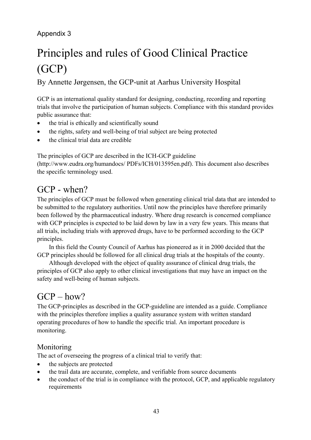### Appendix 3

# Principles and rules of Good Clinical Practice (GCP)

By Annette Jørgensen, the GCP-unit at Aarhus University Hospital

GCP is an international quality standard for designing, conducting, recording and reporting trials that involve the participation of human subjects. Compliance with this standard provides public assurance that:

- the trial is ethically and scientifically sound
- the rights, safety and well-being of trial subject are being protected
- the clinical trial data are credible

The principles of GCP are described in the ICH-GCP guideline

(http://www.eudra.org/humandocs/ PDFs/ICH/013595en.pdf). This document also describes the specific terminology used.

### GCP - when?

The principles of GCP must be followed when generating clinical trial data that are intended to be submitted to the regulatory authorities. Until now the principles have therefore primarily been followed by the pharmaceutical industry. Where drug research is concerned compliance with GCP principles is expected to be laid down by law in a very few years. This means that all trials, including trials with approved drugs, have to be performed according to the GCP principles.

 In this field the County Council of Aarhus has pioneered as it in 2000 decided that the GCP principles should be followed for all clinical drug trials at the hospitals of the county.

 Although developed with the object of quality assurance of clinical drug trials, the principles of GCP also apply to other clinical investigations that may have an impact on the safety and well-being of human subjects.

### $GCP - how?$

The GCP-principles as described in the GCP-guideline are intended as a guide. Compliance with the principles therefore implies a quality assurance system with written standard operating procedures of how to handle the specific trial. An important procedure is monitoring.

#### Monitoring

The act of overseeing the progress of a clinical trial to verify that:

- the subjects are protected
- the trail data are accurate, complete, and verifiable from source documents
- the conduct of the trial is in compliance with the protocol, GCP, and applicable regulatory requirements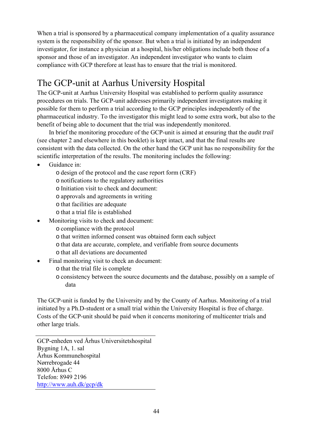When a trial is sponsored by a pharmaceutical company implementation of a quality assurance system is the responsibility of the sponsor. But when a trial is initiated by an independent investigator, for instance a physician at a hospital, his/her obligations include both those of a sponsor and those of an investigator. An independent investigator who wants to claim compliance with GCP therefore at least has to ensure that the trial is monitored.

## The GCP-unit at Aarhus University Hospital

The GCP-unit at Aarhus University Hospital was established to perform quality assurance procedures on trials. The GCP-unit addresses primarily independent investigators making it possible for them to perform a trial according to the GCP principles independently of the pharmaceutical industry. To the investigator this might lead to some extra work, but also to the benefit of being able to document that the trial was independently monitored.

 In brief the monitoring procedure of the GCP-unit is aimed at ensuring that the *audit trail* (see chapter 2 and elsewhere in this booklet) is kept intact, and that the final results are consistent with the data collected. On the other hand the GCP unit has no responsibility for the scientific interpretation of the results. The monitoring includes the following:

- Guidance in:
	- o design of the protocol and the case report form (CRF)
	- o notifications to the regulatory authorities
	- o Initiation visit to check and document:
	- o approvals and agreements in writing
	- o that facilities are adequate
	- o that a trial file is established
- Monitoring visits to check and document:
	- o compliance with the protocol
	- o that written informed consent was obtained form each subject
	- o that data are accurate, complete, and verifiable from source documents
	- o that all deviations are documented
- Final monitoring visit to check an document:
	- o that the trial file is complete
	- o consistency between the source documents and the database, possibly on a sample of data

The GCP-unit is funded by the University and by the County of Aarhus. Monitoring of a trial initiated by a Ph.D-student or a small trial within the University Hospital is free of charge. Costs of the GCP-unit should be paid when it concerns monitoring of multicenter trials and other large trials.

GCP-enheden ved Århus Universitetshospital Bygning 1A, 1. sal Århus Kommunehospital Nørrebrogade 44 8000 Århus C Telefon: 8949 2196 http://www.auh.dk/gcp/dk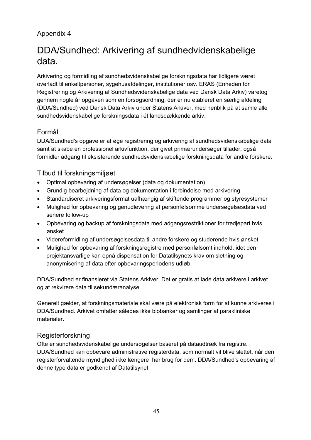### Appendix 4

## DDA/Sundhed: Arkivering af sundhedvidenskabelige data.

Arkivering og formidling af sundhedsvidenskabelige forskningsdata har tidligere været overladt til enkeltpersoner, sygehusafdelinger, institutioner osv. ERAS (Enheden for Registrering og Arkivering af Sundhedsvidenskabelige data ved Dansk Data Arkiv) varetog gennem nogle år opgaven som en forsøgsordning; der er nu etableret en særlig afdeling (DDA/Sundhed) ved Dansk Data Arkiv under Statens Arkiver, med henblik på at samle alle sundhedsvidenskabelige forskningsdata i ét landsdækkende arkiv.

#### Formål

DDA/Sundhed's opgave er at øge registrering og arkivering af sundhedsvidenskabelige data samt at skabe en professionel arkivfunktion, der givet primærundersøger tillader, også formidler adgang til eksisterende sundhedsvidenskabelige forskningsdata for andre forskere.

#### Tilbud til forskningsmiljøet

- Optimal opbevaring af undersøgelser (data og dokumentation)
- Grundig bearbejdning af data og dokumentation i forbindelse med arkivering
- Standardiseret arkiveringsformat uafhængig af skiftende programmer og styresystemer
- Mulighed for opbevaring og genudlevering af personfølsomme undersøgelsesdata ved senere follow-up
- Opbevaring og backup af forskningsdata med adgangsrestriktioner for tredjepart hvis ønsket
- Videreformidling af undersøgelsesdata til andre forskere og studerende hvis ønsket
- Mulighed for opbevaring af forskningsregistre med personfølsomt indhold, idet den projektansvarlige kan opnå dispensation for Datatilsynets krav om sletning og anonymisering af data efter opbevaringsperiodens udløb.

DDA/Sundhed er finansieret via Statens Arkiver. Det er gratis at lade data arkivere i arkivet og at rekvirere data til sekundæranalyse.

Generelt gælder, at forskningsmateriale skal være på elektronisk form for at kunne arkiveres i DDA/Sundhed. Arkivet omfatter således ikke biobanker og samlinger af parakliniske materialer.

#### Registerforskning

Ofte er sundhedsvidenskabelige undersøgelser baseret på dataudtræk fra registre. DDA/Sundhed kan opbevare administrative registerdata, som normalt vil blive slettet, når den registerforvaltende myndighed ikke længere har brug for dem. DDA/Sundhed's opbevaring af denne type data er godkendt af Datatilsynet.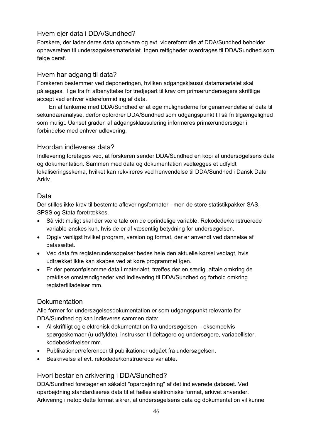#### Hvem ejer data i DDA/Sundhed?

Forskere, der lader deres data opbevare og evt. videreformidle af DDA/Sundhed beholder ophavsretten til undersøgelsesmaterialet. Ingen rettigheder overdrages til DDA/Sundhed som følge deraf.

#### Hvem har adgang til data?

Forskeren bestemmer ved deponeringen, hvilken adgangsklausul datamaterialet skal pålægges, lige fra fri afbenyttelse for tredjepart til krav om primærundersøgers skriftlige accept ved enhver videreformidling af data.

 En af tankerne med DDA/Sundhed er at øge mulighederne for genanvendelse af data til sekundæranalyse, derfor opfordrer DDA/Sundhed som udgangspunkt til så fri tilgængelighed som muligt. Uanset graden af adgangsklausulering informeres primærundersøger i forbindelse med enhver udlevering.

#### Hvordan indleveres data?

Indlevering foretages ved, at forskeren sender DDA/Sundhed en kopi af undersøgelsens data og dokumentation. Sammen med data og dokumentation vedlægges et udfyldt lokaliseringsskema, hvilket kan rekvireres ved henvendelse til DDA/Sundhed i Dansk Data Arkiv.

#### Data

Der stilles ikke krav til bestemte afleveringsformater - men de store statistikpakker SAS, SPSS og Stata foretrækkes.

- Så vidt muligt skal der være tale om de oprindelige variable. Rekodede/konstruerede variable ønskes kun, hvis de er af væsentlig betydning for undersøgelsen.
- Opgiv venligst hvilket program, version og format, der er anvendt ved dannelse af datasættet.
- Ved data fra registerundersøgelser bedes hele den aktuelle kørsel vedlagt, hvis udtrækket ikke kan skabes ved at køre programmet igen.
- Er der personfølsomme data i materialet, træffes der en særlig aftale omkring de praktiske omstændigheder ved indlevering til DDA/Sundhed og forhold omkring registertilladelser mm.

#### **Dokumentation**

Alle former for undersøgelsesdokumentation er som udgangspunkt relevante for DDA/Sundhed og kan indleveres sammen data:

- Al skriftligt og elektronisk dokumentation fra undersøgelsen eksempelvis spørgeskemaer (u-udfyldte), instrukser til deltagere og undersøgere, variabellister, kodebeskrivelser mm.
- Publikationer/referencer til publikationer udgået fra undersøgelsen.
- Beskrivelse af evt. rekodede/konstruerede variable.

#### Hvori består en arkivering i DDA/Sundhed?

DDA/Sundhed foretager en såkaldt "oparbejdning" af det indleverede datasæt. Ved oparbejdning standardiseres data til et fælles elektroniske format, arkivet anvender. Arkivering i netop dette format sikrer, at undersøgelsens data og dokumentation vil kunne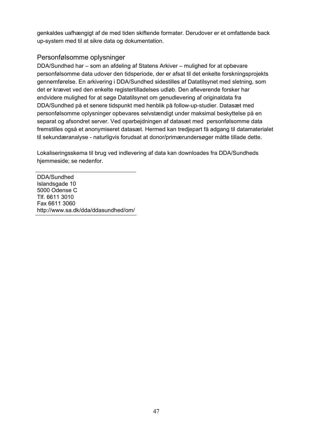genkaldes uafhængigt af de med tiden skiftende formater. Derudover er et omfattende back up-system med til at sikre data og dokumentation.

#### Personfølsomme oplysninger

DDA/Sundhed har – som an afdeling af Statens Arkiver – mulighed for at opbevare personfølsomme data udover den tidsperiode, der er afsat til det enkelte forskningsprojekts gennemførelse. En arkivering i DDA/Sundhed sidestilles af Datatilsynet med sletning, som det er krævet ved den enkelte registertilladelses udløb. Den afleverende forsker har endvidere mulighed for at søge Datatilsynet om genudlevering af originaldata fra DDA/Sundhed på et senere tidspunkt med henblik på follow-up-studier. Datasæt med personfølsomme oplysninger opbevares selvstændigt under maksimal beskyttelse på en separat og afsondret server. Ved oparbejdningen af datasæt med personfølsomme data fremstilles også et anonymiseret datasæt. Hermed kan tredjepart få adgang til datamaterialet til sekundæranalyse - naturligvis forudsat at donor/primærundersøger måtte tillade dette.

Lokaliseringsskema til brug ved indlevering af data kan downloades fra DDA/Sundheds hjemmeside; se nedenfor.

DDA/Sundhed Islandsgade 10 5000 Odense C Tlf. 6611 3010 Fax 6611 3060 http://www.sa.dk/dda/ddasundhed/om/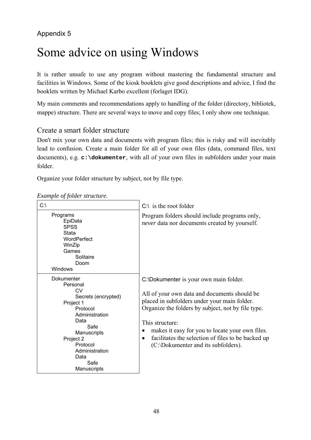### Appendix 5

# Some advice on using Windows

It is rather unsafe to use any program without mastering the fundamental structure and facilities in Windows. Some of the kiosk booklets give good descriptions and advice, I find the booklets written by Michael Karbo excellent (forlaget IDG).

My main comments and recommendations apply to handling of the folder (directory, bibliotek, mappe) structure. There are several ways to move and copy files; I only show one technique.

#### Create a smart folder structure

Don't mix your own data and documents with program files; this is risky and will inevitably lead to confusion. Create a main folder for all of your own files (data, command files, text documents), e.g. **c:\dokumenter**, with all of your own files in subfolders under your main folder.

Organize your folder structure by subject, not by file type.

| $C:\setminus$                                                                                                                                                                                           | $C:\iota$ is the root folder                                                                                                                                                                                                                                                                                                                                                      |
|---------------------------------------------------------------------------------------------------------------------------------------------------------------------------------------------------------|-----------------------------------------------------------------------------------------------------------------------------------------------------------------------------------------------------------------------------------------------------------------------------------------------------------------------------------------------------------------------------------|
| Programs<br>EpiData<br><b>SPSS</b><br>Stata<br>WordPerfect<br>WinZip<br>Games<br>Solitaire<br>Doom<br><b>Windows</b>                                                                                    | Program folders should include programs only,<br><i>never</i> data nor documents created by yourself.                                                                                                                                                                                                                                                                             |
| Dokumenter<br>Personal<br>CV<br>Secrets (encrypted)<br>Project 1<br>Protocol<br>Administration<br>Data<br>Safe<br>Manuscripts<br>Project 2<br>Protocol<br>Administration<br>Data<br>Safe<br>Manuscripts | C:\Dokumenter is your own main folder.<br>All of your own data and documents should be<br>placed in subfolders under your main folder.<br>Organize the folders by subject, not by file type.<br>This structure:<br>makes it easy for you to locate your own files.<br>٠<br>facilitates the selection of files to be backed up<br>$\bullet$<br>(C:\Dokumenter and its subfolders). |

*Example of folder structure.*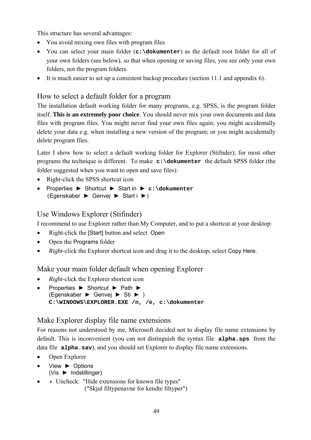This structure has several advantages:

- You avoid mixing own files with program files
- You can select your main folder (**c:\dokumenter**) as the default root folder for all of your own folders (see below), so that when opening or saving files, you see only your own folders, not the program folders.
- It is much easier to set up a consistent backup procedure (section 11.1 and appendix 6).

#### How to select a default folder for a program

The installation default working folder for many programs, e.g. SPSS, is the program folder itself. **This is an extremely poor choice**. You should never mix your own documents and data files with program files. You might never find your own files again; you might accidentally delete your data e.g. when installing a new version of the program; or you might accidentally delete program files.

Later I show how to select a default working folder for Explorer (Stifnder); for most other programs the technique is different. To make **c:\dokumenter** the default SPSS folder (the folder suggested when you want to open and save files):

- Right-click the SPSS shortcut icon
- Properties ► Shortcut ► Start in ► **c:\dokumenter** (Egenskaber ► Genvej ► Start i ►)

#### Use Windows Explorer (Stifinder)

I recommend to use Explorer rather than My Computer, and to put a shortcut at your desktop:

- Right-click the [Start] button and select Open
- Open the Programs folder
- *Right*-click the Explorer shortcut icon and drag it to the desktop; select Copy Here.

#### Make your main folder default when opening Explorer

- *Right*-click the Explorer shortcut icon
- Properties ► Shortcut ► Path ► (Egenskaber ► Genvej ► Sti ► ) **C:\WINDOWS\EXPLORER.EXE /n, /e, c:\dokumenter**

#### Make Explorer display file name extensions

For reasons not understood by me, Microsoft decided not to display file name extensions by default. This is inconvenient (you can not distinguish the syntax file **alpha.sps** from the data file **alpha.sav**), and you should set Explorer to display file name extensions.

- Open Explorer
- View ► Options (Vis ► Indstillinger)
- Uncheck: "Hide extensions for known file types"

("Skjul filtypenavne for kendte filtyper")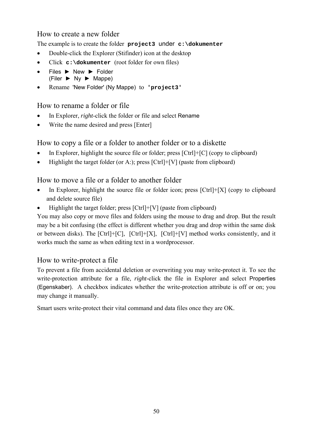#### How to create a new folder

The example is to create the folder **project3** under **c:\dokumenter**

- Double-click the Explorer (Stifinder) icon at the desktop
- Click **c:\dokumenter** (root folder for own files)
- Files ► New ► Folder  $(Filer \triangleright Ny \triangleright Mappe)$
- Rename 'New Folder' (Ny Mappe) to **'project3'**

#### How to rename a folder or file

- In Explorer, *right*-click the folder or file and select Rename
- Write the name desired and press [Enter]

#### How to copy a file or a folder to another folder or to a diskette

- In Explorer, highlight the source file or folder; press  $[Ctrl]+[C]$  (copy to clipboard)
- Highlight the target folder (or A:); press  $[Ctrl]+[V]$  (paste from clipboard)

#### How to move a file or a folder to another folder

- In Explorer, highlight the source file or folder icon; press  $[Ctrl]+[X]$  (copy to clipboard and delete source file)
- Highlight the target folder; press [Ctrl]+[V] (paste from clipboard)

You may also copy or move files and folders using the mouse to drag and drop. But the result may be a bit confusing (the effect is different whether you drag and drop within the same disk or between disks). The [Ctrl]+[C], [Ctrl]+[X], [Ctrl]+[V] method works consistently, and it works much the same as when editing text in a wordprocessor.

#### How to write-protect a file

To prevent a file from accidental deletion or overwriting you may write-protect it. To see the write-protection attribute for a file, *right*-click the file in Explorer and select Properties (Egenskaber). A checkbox indicates whether the write-protection attribute is off or on; you may change it manually.

Smart users write-protect their vital command and data files once they are OK.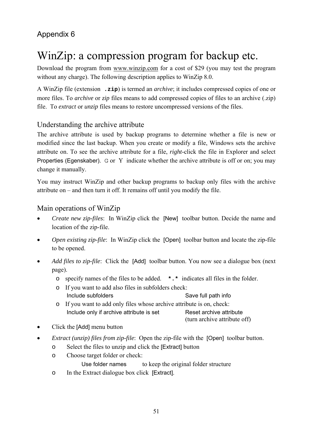### Appendix 6

## WinZip: a compression program for backup etc.

Download the program from www.winzip.com for a cost of \$29 (you may test the program without any charge). The following description applies to WinZip 8.0.

A WinZip file (extension **.zip**) is termed an *archive*; it includes compressed copies of one or more files. To *archive* or *zip* files means to add compressed copies of files to an archive (.zip) file. To *extract* or *unzip* files means to restore uncompressed versions of the files.

#### Understanding the archive attribute

The archive attribute is used by backup programs to determine whether a file is new or modified since the last backup. When you create or modify a file, Windows sets the archive attribute on. To see the archive attribute for a file, *right*-click the file in Explorer and select Properties (Egenskaber). G or Y indicate whether the archive attribute is off or on; you may change it manually.

You may instruct WinZip and other backup programs to backup only files with the archive attribute on – and then turn it off. It remains off until you modify the file.

#### Main operations of WinZip

- *Create new zip-files*: In WinZip click the [New] toolbar button. Decide the name and location of the zip-file.
- *Open existing zip-file*: In WinZip click the [Open] toolbar button and locate the zip-file to be opened.
- *Add files to zip-file*: Click the [Add] toolbar button. You now see a dialogue box (next page).
	- o specify names of the files to be added. **\*.\*** indicates all files in the folder.
	- o If you want to add also files in subfolders check: Include subfolders Save full path info
	- o If you want to add only files whose archive attribute is on, check: Include only if archive attribute is set Reset archive attribute (turn archive attribute off)
- Click the [Add] menu button
- *Extract (unzip) files from zip-file*: Open the zip-file with the [Open] toolbar button.
	- o Select the files to unzip and click the [Extract] button
		- o Choose target folder or check:

Use folder names to keep the original folder structure

o In the Extract dialogue box click [Extract].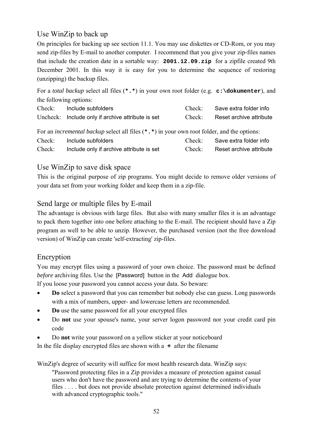### Use WinZip to back up

On principles for backing up see section 11.1. You may use diskettes or CD-Rom, or you may send zip-files by E-mail to another computer. I recommend that you give your zip-files names that include the creation date in a sortable way: **2001.12.09.zip** for a zipfile created 9th December 2001. In this way it is easy for you to determine the sequence of restoring (unzipping) the backup files.

For a *total backup* select all files (**\*.\***) in your own root folder (e.g. **c:\dokumenter**), and the following options:

| Check: | Include subfolders                                                                                  | Check <sup>-</sup> | Save extra folder info  |
|--------|-----------------------------------------------------------------------------------------------------|--------------------|-------------------------|
|        | Uncheck: Include only if archive attribute is set                                                   | Check:             | Reset archive attribute |
|        | For an <i>incremental backup</i> select all files $(*.*)$ in your own root folder, and the options: |                    |                         |
|        |                                                                                                     |                    |                         |
| Check: | Include subfolders                                                                                  | Check:             | Save extra folder info  |
| Check: | Include only if archive attribute is set                                                            | Check:             | Reset archive attribute |

#### Use WinZip to save disk space

This is the original purpose of zip programs. You might decide to remove older versions of your data set from your working folder and keep them in a zip-file.

#### Send large or multiple files by E-mail

The advantage is obvious with large files. But also with many smaller files it is an advantage to pack them together into one before attaching to the E-mail. The recipient should have a Zip program as well to be able to unzip. However, the purchased version (not the free download version) of WinZip can create 'self-extracting' zip-files.

#### Encryption

You may encrypt files using a password of your own choice. The password must be defined *before* archiving files. Use the [Password] button in the Add dialogue box.

If you loose your password you cannot access your data. So beware:

- **Do** select a password that you can remember but nobody else can guess. Long passwords with a mix of numbers, upper- and lowercase letters are recommended.
- **Do** use the same password for all your encrypted files
- Do **not** use your spouse's name, your server logon password nor your credit card pin code
- Do **not** write your password on a yellow sticker at your noticeboard

In the file display encrypted files are shown with a **+** after the filename

WinZip's degree of security will suffice for most health research data. WinZip says:

"Password protecting files in a Zip provides a measure of protection against casual users who don't have the password and are trying to determine the contents of your files . . . . but does not provide absolute protection against determined individuals with advanced cryptographic tools."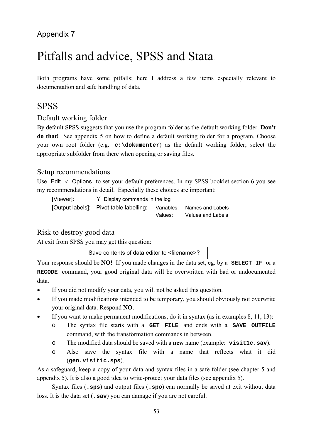### Appendix 7

# Pitfalls and advice, SPSS and Stata.

Both programs have some pitfalls; here I address a few items especially relevant to documentation and safe handling of data.

### **SPSS**

#### Default working folder

By default SPSS suggests that you use the program folder as the default working folder. **Don't do that!** See appendix 5 on how to define a default working folder for a program. Choose your own root folder (e.g. **c:\dokumenter**) as the default working folder; select the appropriate subfolder from there when opening or saving files.

#### Setup recommendations

Use Edit < Options to set your default preferences. In my SPSS booklet section 6 you see my recommendations in detail. Especially these choices are important:

[Viewer]: Y Display commands in the log [Output labels]: Pivot table labelling: Variables: Names and Labels Values: Values and Labels

#### Risk to destroy good data

At exit from SPSS you may get this question:

Save contents of data editor to <filename>?

Your response should be **NO!** If you made changes in the data set, eg. by a **SELECT IF** or a **RECODE** command, your good original data will be overwritten with bad or undocumented data.

- If you did not modify your data, you will not be asked this question.
- If you made modifications intended to be temporary, you should obviously not overwrite your original data. Respond **NO**.
- If you want to make permanent modifications, do it in syntax (as in examples  $8, 11, 13$ ):
	- o The syntax file starts with a **GET FILE** and ends with a **SAVE OUTFILE**  command, with the transformation commands in between.
	- o The modified data should be saved with a **new** name (example: **visit1c.sav**).
	- o Also save the syntax file with a name that reflects what it did (**gen.visit1c.sps**).

As a safeguard, keep a copy of your data and syntax files in a safe folder (see chapter 5 and appendix 5). It is also a good idea to write-protect your data files (see appendix 5).

 Syntax files (**.sps**) and output files (**.spo**) can normally be saved at exit without data loss. It is the data set (**.sav**) you can damage if you are not careful.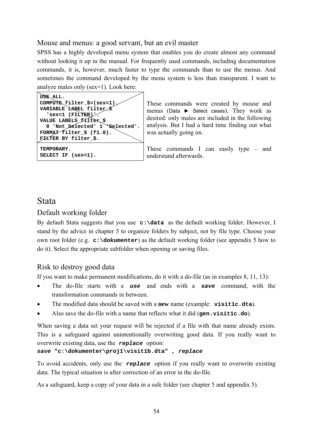#### Mouse and menus: a good servant, but an evil master

SPSS has a highly developed menu system that enables you do create almost any command without looking it up in the manual. For frequently used commands, including documentation commands, it is, however, much faster to type the commands than to use the menus. And sometimes the command developed by the menu system is less than transparent. I want to analyze males only (sex=1). Look here:

| USE ALL.                              |
|---------------------------------------|
| COMPUTE $filter$ $$=(sex=1)$ .        |
| VARIABLE LABEL filter                 |
| 'sex=1 (FILTER)                       |
| VALUE LABELS filter \$                |
| 0 'Not $$e1$ ected' $1$ $$e1$ ected'. |
| FORMAT filter \$ (f1.0).              |
| FILTER BY filter \$.                  |
| TEMPORARY.                            |
|                                       |
| SELECT IF (sex=1).                    |

These commands were created by mouse and menus (Data ► Select cases). They work as desired: only males are included in the following analysis. But I had a hard time finding out what was actually going on.

These commands I can easily type – and understand afterwards.

### Stata

#### Default working folder

By default Stata suggests that you use **c:\data** as the default working folder. However, I stand by the advice in chapter 5 to organize folders by subject, not by file type. Choose your own root folder (e.g. **c:\dokumenter**) as the default working folder (see appendix 5 how to do it). Select the appropriate subfolder when opening or saving files.

#### Risk to destroy good data

If you want to make permanent modifications, do it with a do-file (as in examples 8, 11, 13):

- The do-file starts with a *use* and ends with a *save* command, with the transformation commands in between.
- The modified data should be saved with a **new** name (example: **visit1c.dta**).
- Also save the do-file with a name that reflects what it did (**gen.visit1c.do**).

When saving a data set your request will be rejected if a file with that name already exists. This is a safeguard against unintentionally overwriting good data. If you really want to overwrite existing data, use the *replace* option:

#### *save* **"c:\dokumenter\proj1\visit1b.dta" ,** *replace*

To avoid accidents, only use the *replace* option if you really want to overwrite existing data. The typical situation is after correction of an error in the do-file.

As a safeguard, keep a copy of your data in a safe folder (see chapter 5 and appendix 5).